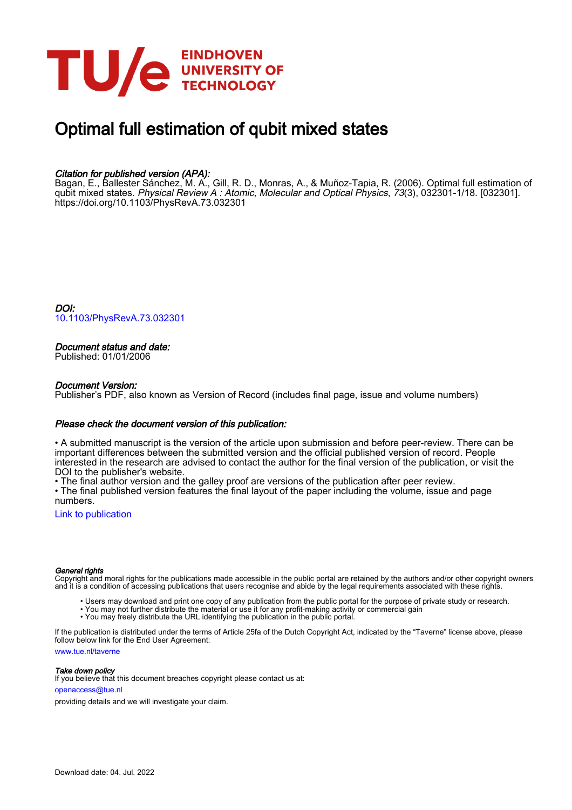

# Optimal full estimation of qubit mixed states

# Citation for published version (APA):

Bagan, E., Ballester Sánchez, M. A., Gill, R. D., Monras, A., & Muñoz-Tapia, R. (2006). Optimal full estimation of qubit mixed states. *Physical Review A : Atomic, Molecular and Optical Physics, 73*(3), 032301-1/18. [032301]. <https://doi.org/10.1103/PhysRevA.73.032301>

DOI: [10.1103/PhysRevA.73.032301](https://doi.org/10.1103/PhysRevA.73.032301)

# Document status and date:

Published: 01/01/2006

# Document Version:

Publisher's PDF, also known as Version of Record (includes final page, issue and volume numbers)

# Please check the document version of this publication:

• A submitted manuscript is the version of the article upon submission and before peer-review. There can be important differences between the submitted version and the official published version of record. People interested in the research are advised to contact the author for the final version of the publication, or visit the DOI to the publisher's website.

• The final author version and the galley proof are versions of the publication after peer review.

• The final published version features the final layout of the paper including the volume, issue and page numbers.

[Link to publication](https://research.tue.nl/en/publications/880f35d8-d7a9-40d6-860d-c189bab24516)

#### General rights

Copyright and moral rights for the publications made accessible in the public portal are retained by the authors and/or other copyright owners and it is a condition of accessing publications that users recognise and abide by the legal requirements associated with these rights.

- Users may download and print one copy of any publication from the public portal for the purpose of private study or research.
- You may not further distribute the material or use it for any profit-making activity or commercial gain
- You may freely distribute the URL identifying the publication in the public portal.

If the publication is distributed under the terms of Article 25fa of the Dutch Copyright Act, indicated by the "Taverne" license above, please follow below link for the End User Agreement:

www.tue.nl/taverne

**Take down policy**<br>If you believe that this document breaches copyright please contact us at:

openaccess@tue.nl

providing details and we will investigate your claim.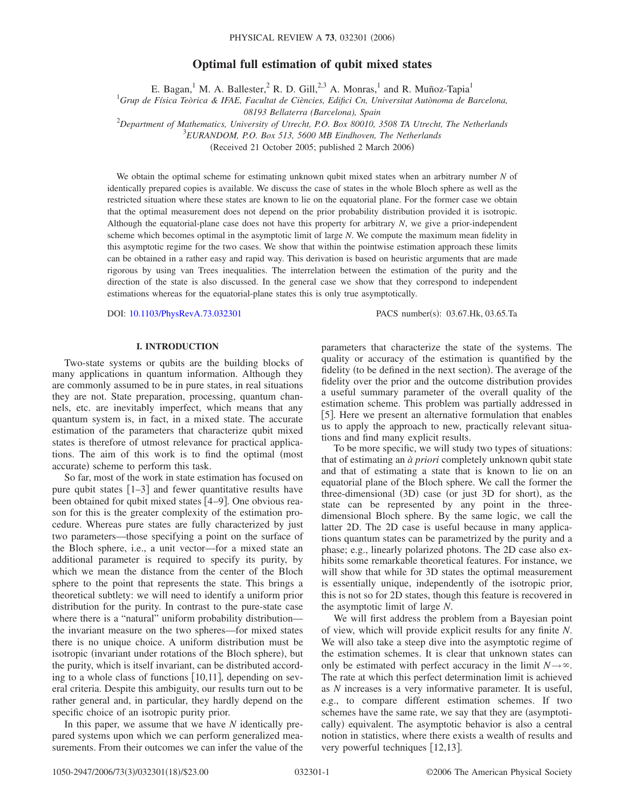# **Optimal full estimation of qubit mixed states**

E. Bagan,<sup>1</sup> M. A. Ballester,<sup>2</sup> R. D. Gill,<sup>2,3</sup> A. Monras,<sup>1</sup> and R. Muñoz-Tapia<sup>1</sup>

1 *Grup de Física Teòrica & IFAE, Facultat de Ciències, Edifici Cn, Universitat Autònoma de Barcelona,*

*08193 Bellaterra (Barcelona), Spain*

2 *Department of Mathematics, University of Utrecht, P.O. Box 80010, 3508 TA Utrecht, The Netherlands*

3 *EURANDOM, P.O. Box 513, 5600 MB Eindhoven, The Netherlands*

(Received 21 October 2005; published 2 March 2006)

We obtain the optimal scheme for estimating unknown qubit mixed states when an arbitrary number *N* of identically prepared copies is available. We discuss the case of states in the whole Bloch sphere as well as the restricted situation where these states are known to lie on the equatorial plane. For the former case we obtain that the optimal measurement does not depend on the prior probability distribution provided it is isotropic. Although the equatorial-plane case does not have this property for arbitrary *N*, we give a prior-independent scheme which becomes optimal in the asymptotic limit of large *N*. We compute the maximum mean fidelity in this asymptotic regime for the two cases. We show that within the pointwise estimation approach these limits can be obtained in a rather easy and rapid way. This derivation is based on heuristic arguments that are made rigorous by using van Trees inequalities. The interrelation between the estimation of the purity and the direction of the state is also discussed. In the general case we show that they correspond to independent estimations whereas for the equatorial-plane states this is only true asymptotically.

DOI: [10.1103/PhysRevA.73.032301](http://dx.doi.org/10.1103/PhysRevA.73.032301)

PACS number(s): 03.67.Hk, 03.65.Ta

#### **I. INTRODUCTION**

Two-state systems or qubits are the building blocks of many applications in quantum information. Although they are commonly assumed to be in pure states, in real situations they are not. State preparation, processing, quantum channels, etc. are inevitably imperfect, which means that any quantum system is, in fact, in a mixed state. The accurate estimation of the parameters that characterize qubit mixed states is therefore of utmost relevance for practical applications. The aim of this work is to find the optimal (most accurate) scheme to perform this task.

So far, most of the work in state estimation has focused on pure qubit states  $\lceil 1-3 \rceil$  and fewer quantitative results have been obtained for qubit mixed states [4–9]. One obvious reason for this is the greater complexity of the estimation procedure. Whereas pure states are fully characterized by just two parameters—those specifying a point on the surface of the Bloch sphere, i.e., a unit vector—for a mixed state an additional parameter is required to specify its purity, by which we mean the distance from the center of the Bloch sphere to the point that represents the state. This brings a theoretical subtlety: we will need to identify a uniform prior distribution for the purity. In contrast to the pure-state case where there is a "natural" uniform probability distribution the invariant measure on the two spheres—for mixed states there is no unique choice. A uniform distribution must be isotropic (invariant under rotations of the Bloch sphere), but the purity, which is itself invariant, can be distributed according to a whole class of functions  $[10,11]$ , depending on several criteria. Despite this ambiguity, our results turn out to be rather general and, in particular, they hardly depend on the specific choice of an isotropic purity prior.

In this paper, we assume that we have *N* identically prepared systems upon which we can perform generalized measurements. From their outcomes we can infer the value of the

parameters that characterize the state of the systems. The quality or accuracy of the estimation is quantified by the fidelity (to be defined in the next section). The average of the fidelity over the prior and the outcome distribution provides a useful summary parameter of the overall quality of the estimation scheme. This problem was partially addressed in [5]. Here we present an alternative formulation that enables us to apply the approach to new, practically relevant situations and find many explicit results.

To be more specific, we will study two types of situations: that of estimating an *à priori* completely unknown qubit state and that of estimating a state that is known to lie on an equatorial plane of the Bloch sphere. We call the former the three-dimensional (3D) case (or just 3D for short), as the state can be represented by any point in the threedimensional Bloch sphere. By the same logic, we call the latter 2D. The 2D case is useful because in many applications quantum states can be parametrized by the purity and a phase; e.g., linearly polarized photons. The 2D case also exhibits some remarkable theoretical features. For instance, we will show that while for 3D states the optimal measurement is essentially unique, independently of the isotropic prior, this is not so for 2D states, though this feature is recovered in the asymptotic limit of large *N*.

We will first address the problem from a Bayesian point of view, which will provide explicit results for any finite *N*. We will also take a steep dive into the asymptotic regime of the estimation schemes. It is clear that unknown states can only be estimated with perfect accuracy in the limit  $N \rightarrow \infty$ . The rate at which this perfect determination limit is achieved as *N* increases is a very informative parameter. It is useful, e.g., to compare different estimation schemes. If two schemes have the same rate, we say that they are (asymptotically) equivalent. The asymptotic behavior is also a central notion in statistics, where there exists a wealth of results and very powerful techniques  $[12,13]$ .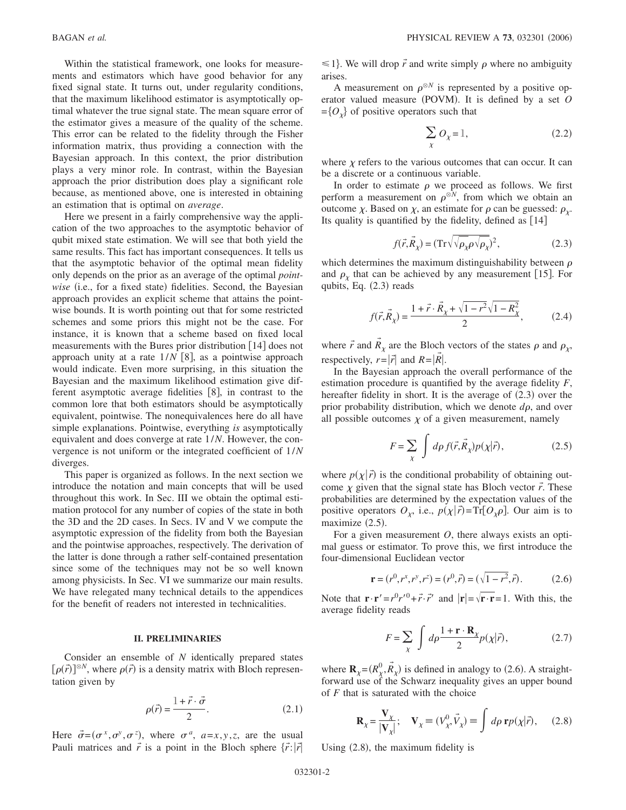Within the statistical framework, one looks for measurements and estimators which have good behavior for any fixed signal state. It turns out, under regularity conditions, that the maximum likelihood estimator is asymptotically optimal whatever the true signal state. The mean square error of the estimator gives a measure of the quality of the scheme. This error can be related to the fidelity through the Fisher information matrix, thus providing a connection with the Bayesian approach. In this context, the prior distribution plays a very minor role. In contrast, within the Bayesian approach the prior distribution does play a significant role because, as mentioned above, one is interested in obtaining an estimation that is optimal on *average*.

Here we present in a fairly comprehensive way the application of the two approaches to the asymptotic behavior of qubit mixed state estimation. We will see that both yield the same results. This fact has important consequences. It tells us that the asymptotic behavior of the optimal mean fidelity only depends on the prior as an average of the optimal *point*wise (i.e., for a fixed state) fidelities. Second, the Bayesian approach provides an explicit scheme that attains the pointwise bounds. It is worth pointing out that for some restricted schemes and some priors this might not be the case. For instance, it is known that a scheme based on fixed local measurements with the Bures prior distribution  $[14]$  does not approach unity at a rate  $1/N$  [8], as a pointwise approach would indicate. Even more surprising, in this situation the Bayesian and the maximum likelihood estimation give different asymptotic average fidelities  $[8]$ , in contrast to the common lore that both estimators should be asymptotically equivalent, pointwise. The nonequivalences here do all have simple explanations. Pointwise, everything *is* asymptotically equivalent and does converge at rate 1/*N*. However, the convergence is not uniform or the integrated coefficient of 1/*N* diverges.

This paper is organized as follows. In the next section we introduce the notation and main concepts that will be used throughout this work. In Sec. III we obtain the optimal estimation protocol for any number of copies of the state in both the 3D and the 2D cases. In Secs. IV and V we compute the asymptotic expression of the fidelity from both the Bayesian and the pointwise approaches, respectively. The derivation of the latter is done through a rather self-contained presentation since some of the techniques may not be so well known among physicists. In Sec. VI we summarize our main results. We have relegated many technical details to the appendices for the benefit of readers not interested in technicalities.

#### **II. PRELIMINARIES**

Consider an ensemble of *N* identically prepared states  $[\rho(\vec{r})]^{\otimes N}$ , where  $\rho(\vec{r})$  is a density matrix with Bloch representation given by

$$
\rho(\vec{r}) = \frac{1 + \vec{r} \cdot \vec{\sigma}}{2}.
$$
\n(2.1)

Here  $\vec{\sigma} = (\sigma^x, \sigma^y, \sigma^z)$ , where  $\sigma^a$ ,  $a=x, y, z$ , are the usual Pauli matrices and  $\vec{r}$  is a point in the Bloch sphere  $\{\vec{r}$ :  $|\vec{r}|$ 

 $\leq 1$ . We will drop  $\vec{r}$  and write simply  $\rho$  where no ambiguity arises.

A measurement on  $\rho^{\otimes N}$  is represented by a positive operator valued measure (POVM). It is defined by a set O  $=\{O_{v}\}\$ of positive operators such that

$$
\sum_{\chi} O_{\chi} = 1, \tag{2.2}
$$

where  $\chi$  refers to the various outcomes that can occur. It can be a discrete or a continuous variable.

In order to estimate  $\rho$  we proceed as follows. We first perform a measurement on  $\rho^{\otimes N}$ , from which we obtain an outcome  $\chi$ . Based on  $\chi$ , an estimate for  $\rho$  can be guessed:  $\rho_{\chi}$ . Its quality is quantified by the fidelity, defined as  $[14]$ 

$$
f(\vec{r}, \vec{R}_{\chi}) = (\text{Tr}\sqrt{\sqrt{\rho_{\chi}} \rho \sqrt{\rho_{\chi}}})^2, \tag{2.3}
$$

which determines the maximum distinguishability between  $\rho$ and  $\rho_{\chi}$  that can be achieved by any measurement [15]. For qubits, Eq.  $(2.3)$  reads

$$
f(\vec{r}, \vec{R}_{\chi}) = \frac{1 + \vec{r} \cdot \vec{R}_{\chi} + \sqrt{1 - r^2} \sqrt{1 - R_{\chi}^2}}{2},
$$
 (2.4)

where  $\vec{r}$  and  $\vec{R}_{\chi}$  are the Bloch vectors of the states  $\rho$  and  $\rho_{\chi}$ , respectively,  $r = |\vec{r}|$  and  $R = |\vec{R}|$ .

In the Bayesian approach the overall performance of the estimation procedure is quantified by the average fidelity *F*, hereafter fidelity in short. It is the average of  $(2.3)$  over the prior probability distribution, which we denote  $d\rho$ , and over all possible outcomes  $\chi$  of a given measurement, namely

$$
F = \sum_{\chi} \int d\rho f(\vec{r}, \vec{R}_{\chi}) p(\chi|\vec{r}), \qquad (2.5)
$$

where  $p(\chi|\vec{r})$  is the conditional probability of obtaining outcome  $\chi$  given that the signal state has Bloch vector  $\vec{r}$ . These probabilities are determined by the expectation values of the positive operators  $O_{\chi}$ , i.e.,  $p(\chi|\vec{r}) = \text{Tr}[O_{\chi}\rho]$ . Our aim is to maximize  $(2.5)$ .

For a given measurement *O*, there always exists an optimal guess or estimator. To prove this, we first introduce the four-dimensional Euclidean vector

$$
\mathbf{r} = (r^0, r^x, r^y, r^z) = (r^0, \vec{r}) = (\sqrt{1 - r^2}, \vec{r}).
$$
 (2.6)

Note that  $\mathbf{r} \cdot \mathbf{r}' = r^0 r'^0 + \vec{r} \cdot \vec{r}'$  and  $|\mathbf{r}| = \sqrt{\mathbf{r} \cdot \mathbf{r}} = 1$ . With this, the average fidelity reads

$$
F = \sum_{\chi} \int d\rho \frac{1 + \mathbf{r} \cdot \mathbf{R}_{\chi}}{2} p(\chi | \vec{r}), \qquad (2.7)
$$

where  $\mathbf{R}_{\chi} = (R_{\chi}^0, \vec{R}_{\chi})$  is defined in analogy to (2.6). A straightforward use of the Schwarz inequality gives an upper bound of *F* that is saturated with the choice

$$
\mathbf{R}_{\chi} = \frac{\mathbf{V}_{\chi}}{|\mathbf{V}_{\chi}|}; \quad \mathbf{V}_{\chi} \equiv (V_{\chi}^{0}, \vec{V}_{\chi}) \equiv \int d\rho \, \mathbf{r} p(\chi|\vec{r}), \quad (2.8)
$$

Using (2.8), the maximum fidelity is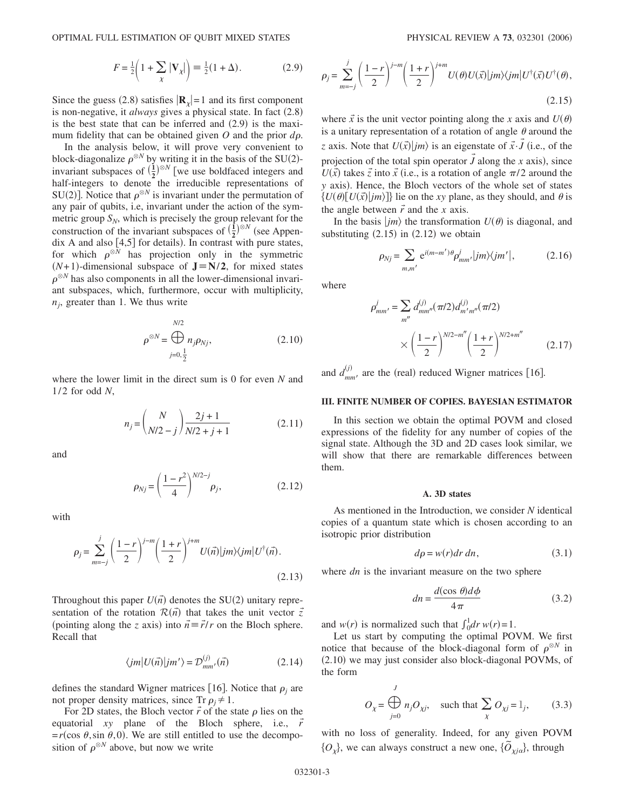$$
F = \frac{1}{2} \left( 1 + \sum_{\chi} |\mathbf{V}_{\chi}| \right) \equiv \frac{1}{2} (1 + \Delta). \tag{2.9}
$$

Since the guess (2.8) satisfies  $|\mathbf{R}_{\chi}|=1$  and its first component is non-negative, it *always* gives a physical state. In fact (2.8) is the best state that can be inferred and  $(2.9)$  is the maximum fidelity that can be obtained given  $O$  and the prior  $d\rho$ .

In the analysis below, it will prove very convenient to block-diagonalize  $\rho^{\otimes N}$  by writing it in the basis of the SU(2)invariant subspaces of  $\left(\frac{1}{2}\right)^{\otimes N}$  [we use boldfaced integers and  $\frac{2}{\pi}$  half-integers to denote the irreducible representations of SU(2)]. Notice that  $\rho^{\otimes N}$  is invariant under the permutation of any pair of qubits, i.e, invariant under the action of the symmetric group  $S_N$ , which is precisely the group relevant for the construction of the invariant subspaces of  $\left(\frac{1}{2}\right)^{\otimes N}$  (see Appendix A and also  $[4,5]$  for details). In contrast with pure states, for which  $\rho^{\otimes N}$  has projection only in the symmetric  $(N+1)$ -dimensional subspace of **J** $\equiv$ **N**/2, for mixed states  $\rho^{\otimes N}$  has also components in all the lower-dimensional invariant subspaces, which, furthermore, occur with multiplicity,  $n_i$ , greater than 1. We thus write

$$
\rho^{\otimes N} = \bigoplus_{j=0, \frac{1}{2}}^{N/2} n_j \rho_{Nj},
$$
\n(2.10)

where the lower limit in the direct sum is 0 for even *N* and 1/2 for odd *N*,

$$
n_j = {N \choose N/2 - j} \frac{2j + 1}{N/2 + j + 1}
$$
 (2.11)

and

$$
\rho_{Nj} = \left(\frac{1 - r^2}{4}\right)^{N/2 - j} \rho_j,
$$
\n(2.12)

with

$$
\rho_j = \sum_{m=-j}^j \left(\frac{1-r}{2}\right)^{j-m} \left(\frac{1+r}{2}\right)^{j+m} U(\vec{n}) |jm\rangle\langle jm| U^{\dagger}(\vec{n}).
$$
\n(2.13)

Throughout this paper  $U(\vec{n})$  denotes the SU(2) unitary representation of the rotation  $\mathcal{R}(\vec{n})$  that takes the unit vector  $\vec{z}$ (pointing along the *z* axis) into  $\vec{n} = \vec{r}/r$  on the Bloch sphere. Recall that

$$
\langle jm|U(\vec{n})|jm'\rangle = \mathcal{D}_{mm'}^{(j)}(\vec{n})\tag{2.14}
$$

defines the standard Wigner matrices [16]. Notice that  $\rho_j$  are not proper density matrices, since  $Tr \rho_j \neq 1$ .

For 2D states, the Bloch vector  $\vec{r}$  of the state  $\rho$  lies on the equatorial *xy* plane of the Bloch sphere, i.e., *r*  $=r(\cos \theta, \sin \theta, 0)$ . We are still entitled to use the decomposition of  $\rho^{\otimes N}$  above, but now we write

$$
\rho_j = \sum_{m=-j}^{j} \left(\frac{1-r}{2}\right)^{j-m} \left(\frac{1+r}{2}\right)^{j+m} U(\theta)U(\vec{x}) |jm\rangle\langle jm|U^{\dagger}(\vec{x})U^{\dagger}(\theta),\tag{2.15}
$$

where  $\vec{x}$  is the unit vector pointing along the *x* axis and  $U(\theta)$ is a unitary representation of a rotation of angle  $\theta$  around the *z* axis. Note that  $U(\vec{x})|jm\rangle$  is an eigenstate of  $\vec{x} \cdot \vec{J}$  (i.e., of the projection of the total spin operator  $\vec{J}$  along the *x* axis), since  $U(\vec{x})$  takes  $\vec{z}$  into  $\vec{x}$  (i.e., is a rotation of angle  $\pi/2$  around the *y* axis). Hence, the Bloch vectors of the whole set of states  $\{U(\theta)[U(\vec{x})|jm\rangle]\}$  lie on the *xy* plane, as they should, and  $\theta$  is the angle between  $\vec{r}$  and the *x* axis.

In the basis  $\ket{jm}$  the transformation  $U(\theta)$  is diagonal, and substituting  $(2.15)$  in  $(2.12)$  we obtain

$$
\rho_{Nj} = \sum_{m,m'} e^{i(m-m')\theta} \rho_{mm'}^j |jm\rangle\langle jm'|,\tag{2.16}
$$

where

$$
\rho_{mm'}^j = \sum_{m''} d_{mm''}^{(j)} (\pi/2) d_{m'm''}^{(j)} (\pi/2)
$$

$$
\times \left(\frac{1-r}{2}\right)^{N/2-m''} \left(\frac{1+r}{2}\right)^{N/2+m''}
$$
(2.17)

and  $d_{mm'}^{(j)}$  are the (real) reduced Wigner matrices [16].

#### **III. FINITE NUMBER OF COPIES. BAYESIAN ESTIMATOR**

In this section we obtain the optimal POVM and closed expressions of the fidelity for any number of copies of the signal state. Although the 3D and 2D cases look similar, we will show that there are remarkable differences between them.

#### **A. 3D states**

As mentioned in the Introduction, we consider *N* identical copies of a quantum state which is chosen according to an isotropic prior distribution

$$
d\rho = w(r)dr\,dn,\tag{3.1}
$$

where *dn* is the invariant measure on the two sphere

$$
dn = \frac{d(\cos \theta)d\phi}{4\pi} \tag{3.2}
$$

and  $w(r)$  is normalized such that  $\int_0^1 dr w(r) = 1$ .

Let us start by computing the optimal POVM. We first notice that because of the block-diagonal form of  $\rho^{\otimes N}$  in (2.10) we may just consider also block-diagonal POVMs, of the form

$$
O_{\chi} = \bigoplus_{j=0}^{J} n_j O_{\chi j}, \quad \text{such that } \sum_{\chi} O_{\chi j} = 1_j,
$$
 (3.3)

with no loss of generality. Indeed, for any given POVM  $\{O_\chi\}$ , we can always construct a new one,  $\{\tilde{O}_{\chi j \alpha}\}$ , through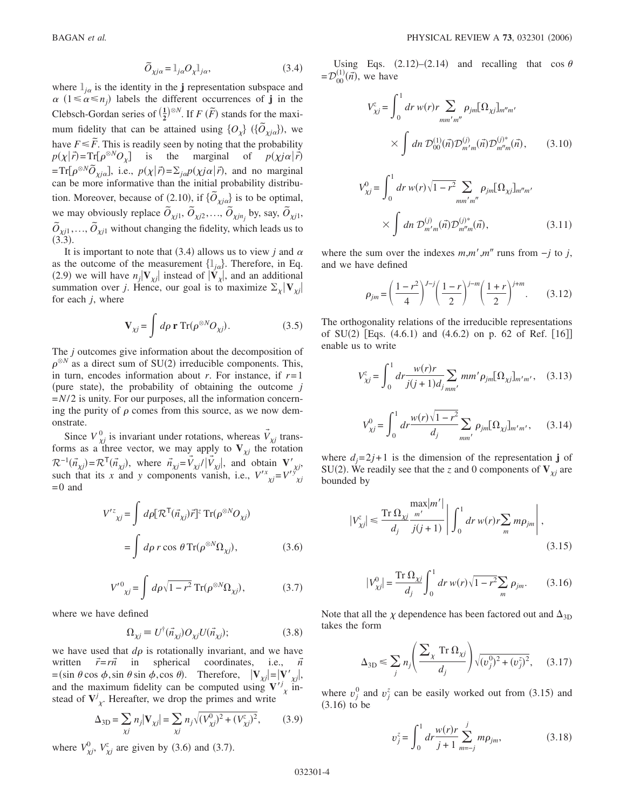$$
\tilde{O}_{\chi j\alpha} = \mathbb{I}_{j\alpha} O_{\chi} \mathbb{I}_{j\alpha},\tag{3.4}
$$

where  $l_{i\alpha}$  is the identity in the **j** representation subspace and  $\alpha$  ( $1 \leq \alpha \leq n_j$ ) labels the different occurrences of **j** in the Clebsch-Gordan series of  $(\frac{1}{2})^{\otimes N}$ . If *F*  $(\widetilde{F})$  stands for the maximum fidelity that can be attained using  $\{O_\chi\}$  ( $\{\tilde{O}_{\chi j\alpha}\}$ ), we have  $F \leq \tilde{F}$ . This is readily seen by noting that the probability  $p(\chi|\vec{r}) = \text{Tr}[\rho^{\otimes N}O_{\chi}]$  is the marginal of  $p(\chi|\vec{r})$  $=Tr[\rho^{\otimes N}\tilde{O}_{x/\alpha}],$  i.e.,  $p(\chi|\vec{r}) = \sum_{j\alpha}p(\chi j\alpha|\vec{r}),$  and no marginal can be more informative than the initial probability distribution. Moreover, because of (2.10), if  $\{\tilde{O}_{x/a}\}$  is to be optimal, we may obviously replace  $\tilde{O}_{\chi j1}$ ,  $\tilde{O}_{\chi j2}$ ,...,  $\tilde{O}_{\chi j n_j}$  by, say,  $\tilde{O}_{\chi j1}$ ,  $\tilde{O}_{\chi j1}, \ldots, \tilde{O}_{\chi j1}$  without changing the fidelity, which leads us to  $(3.3).$ 

It is important to note that (3.4) allows us to view *j* and  $\alpha$ as the outcome of the measurement  $\{l_{ja}\}$ . Therefore, in Eq. (2.9) we will have  $n_j$   $\mathbf{V}_{\chi j}$  instead of  $|\mathbf{V}_{\chi}|$ , and an additional summation over *j*. Hence, our goal is to maximize  $\Sigma_{\chi} |V_{\chi_i}|$ for each *j*, where

$$
\mathbf{V}_{\chi j} = \int d\rho \, \mathbf{r} \, \text{Tr}(\rho^{\otimes N} O_{\chi j}). \tag{3.5}
$$

The *j* outcomes give information about the decomposition of  $\rho^{\otimes N}$  as a direct sum of SU(2) irreducible components. This, in turn, encodes information about *r*. For instance, if *r*=1 (pure state), the probability of obtaining the outcome *j* =*N*/2 is unity. For our purposes, all the information concerning the purity of  $\rho$  comes from this source, as we now demonstrate.

Since  $V^0_{\chi j}$  is invariant under rotations, whereas  $\vec{V}_{\chi j}$  transforms as a three vector, we may apply to  $V_{\chi j}$  the rotation  $\mathcal{R}^{-1}(\vec{n}_{\chi j}) = \mathcal{R}^{\mathsf{T}}(\vec{n}_{\chi j})$ , where  $\vec{n}_{\chi j} = V_{\chi j} / |V_{\chi j}|$ , and obtain  $\mathbf{V}'_{\chi j}$ , such that its *x* and *y* components vanish, i.e.,  $V'_{\chi j} = V'_{\chi j}^{\circ j}$  $=0$  and

$$
V^{\prime z}_{\chi j} = \int d\rho [\mathcal{R}^{\mathsf{T}}(\vec{n}_{\chi j})\vec{r}]^{z} \operatorname{Tr}(\rho^{\otimes N}O_{\chi j})
$$

$$
= \int d\rho \, r \cos \, \theta \operatorname{Tr}(\rho^{\otimes N}\Omega_{\chi j}), \tag{3.6}
$$

$$
V^{\prime 0}_{\chi j} = \int d\rho \sqrt{1 - r^2} \operatorname{Tr}(\rho^{\otimes N} \Omega_{\chi j}), \qquad (3.7)
$$

where we have defined

$$
\Omega_{\chi j} \equiv U^{\dagger}(\vec{n}_{\chi j}) O_{\chi j} U(\vec{n}_{\chi j}); \tag{3.8}
$$

we have used that  $d\rho$  is rotationally invariant, and we have written  $\vec{r} = r\vec{n}$  in spherical coordinates, i.e.,  $\vec{n}$  $=$ (sin  $\theta$  cos  $\phi$ , sin  $\theta$  sin  $\phi$ , cos  $\theta$ ). Therefore,  $|\mathbf{V}_{\chi j}| = |\mathbf{V}'_{\chi j}|$ , and the maximum fidelity can be computed using  $V^j$  instead of  $V^j_{\chi}$ . Hereafter, we drop the primes and write

$$
\Delta_{3D} = \sum_{\chi j} n_j |\mathbf{V}_{\chi j}| = \sum_{\chi j} n_j \sqrt{(V_{\chi j}^0)^2 + (V_{\chi j}^z)^2},
$$
(3.9)

where  $V_{\chi j}^0$ ,  $V_{\chi j}^z$  are given by (3.6) and (3.7).

Using Eqs.  $(2.12)$ – $(2.14)$  and recalling that cos  $\theta$  $= \mathcal{D}_{00}^{(1)}(\vec{n})$ , we have

$$
V_{\chi j}^{z} = \int_{0}^{1} dr \, w(r) r \sum_{mm'm''} \rho_{jm} [\Omega_{\chi j}]_{m''m'}
$$

$$
\times \int dn \, \mathcal{D}_{00}^{(1)}(\vec{n}) \mathcal{D}_{m'm}^{(j)}(\vec{n}) \mathcal{D}_{m''m}^{(j)*}(\vec{n}), \qquad (3.10)
$$

$$
V_{\chi j}^{0} = \int_{0}^{1} dr \, w(r) \sqrt{1 - r^{2}} \sum_{m m' m''} \rho_{jm} [\Omega_{\chi j}]_{m'' m'}
$$

$$
\times \int dn \, \mathcal{D}_{m'm}^{(j)}(\vec{n}) \mathcal{D}_{m''m}^{(j)*}(\vec{n}), \qquad (3.11)
$$

where the sum over the indexes  $m,m',m''$  runs from  $-j$  to *j*, and we have defined

$$
\rho_{jm} = \left(\frac{1-r^2}{4}\right)^{J-j} \left(\frac{1-r}{2}\right)^{j-m} \left(\frac{1+r}{2}\right)^{j+m}.
$$
 (3.12)

The orthogonality relations of the irreducible representations of  $SU(2)$  [Eqs.  $(4.6.1)$  and  $(4.6.2)$  on p. 62 of Ref. [16]] enable us to write

$$
V_{\chi j}^{z} = \int_{0}^{1} dr \frac{w(r)r}{j(j+1)d_j} \sum_{m m'} m m' \rho_{jm} [\Omega_{\chi j}]_{m'm'}, \quad (3.13)
$$

$$
V_{\chi j}^{0} = \int_{0}^{1} dr \frac{w(r)\sqrt{1 - r^{2}}}{d_{j}} \sum_{mm'} \rho_{jm} [\Omega_{\chi j}]_{m'm'}, \quad (3.14)
$$

where  $d_i = 2j + 1$  is the dimension of the representation **j** of SU(2). We readily see that the *z* and 0 components of  $V_{\chi i}$  are bounded by

$$
|V_{\chi j}^{z}| \leq \frac{\text{Tr}\,\Omega_{\chi j}\,\frac{m'}{m'}}{d_j}\,\frac{1}{j(j+1)}\,\left|\,\int_0^1 dr\,w(r)r\sum_m m\rho_{jm}\,\right|,\tag{3.15}
$$

$$
|V_{\chi j}^{0}| = \frac{\text{Tr}\,\Omega_{\chi j}}{d_j} \int_0^1 dr \, w(r) \sqrt{1 - r^2} \sum_m \rho_{jm}.
$$
 (3.16)

Note that all the  $\chi$  dependence has been factored out and  $\Delta_{3D}$ takes the form

$$
\Delta_{3D} \le \sum_j n_j \left( \frac{\sum_{\chi} \operatorname{Tr} \Omega_{\chi j}}{d_j} \right) \sqrt{(v_j^0)^2 + (v_j^z)^2}, \quad (3.17)
$$

where  $v_j^0$  and  $v_j^z$  can be easily worked out from (3.15) and  $(3.16)$  to be

$$
v_j^z = \int_0^1 dr \frac{w(r)r}{j+1} \sum_{m=-j}^j m\rho_{jm},
$$
 (3.18)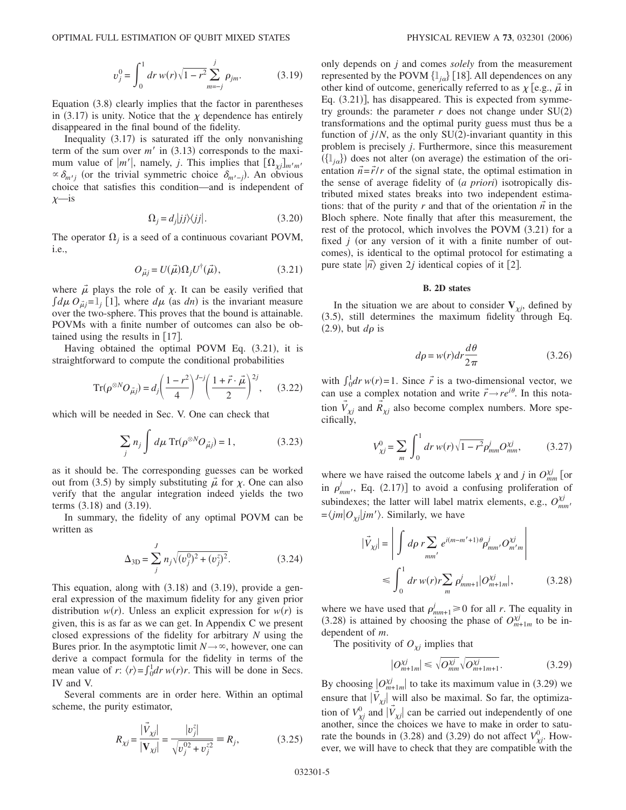$$
v_j^0 = \int_0^1 dr \, w(r) \sqrt{1 - r^2} \sum_{m=-j}^j \rho_{jm}.
$$
 (3.19)

Equation (3.8) clearly implies that the factor in parentheses in (3.17) is unity. Notice that the  $\chi$  dependence has entirely disappeared in the final bound of the fidelity.

Inequality (3.17) is saturated iff the only nonvanishing term of the sum over  $m'$  in  $(3.13)$  corresponds to the maximum value of  $|m'|$ , namely, *j*. This implies that  $[\Omega_{\chi}^{\text{}}]_{m'm'}$  $\propto \delta_{m'j}$  (or the trivial symmetric choice  $\delta_{m'-j}$ ). An obvious choice that satisfies this condition—and is independent of  $x$ —is

$$
\Omega_j = d_j|jj\rangle\langle jj|.\tag{3.20}
$$

The operator  $\Omega_i$  is a seed of a continuous covariant POVM, i.e.,

$$
O_{\vec{\mu}j} = U(\vec{\mu})\Omega_j U^{\dagger}(\vec{\mu}),\tag{3.21}
$$

where  $\vec{\mu}$  plays the role of  $\chi$ . It can be easily verified that  $\int d\mu \, O_{\mu j} = l_j$  [1], where  $d\mu$  (as *dn*) is the invariant measure over the two-sphere. This proves that the bound is attainable. POVMs with a finite number of outcomes can also be obtained using the results in  $[17]$ .

Having obtained the optimal POVM Eq. (3.21), it is straightforward to compute the conditional probabilities

$$
\operatorname{Tr}(\rho^{\otimes N}O_{\vec{\mu}j}) = d_j \left(\frac{1-r^2}{4}\right)^{J-j} \left(\frac{1+\vec{r}\cdot\vec{\mu}}{2}\right)^{2j},\qquad(3.22)
$$

which will be needed in Sec. V. One can check that

$$
\sum_{j} n_{j} \int d\mu \operatorname{Tr}(\rho^{\otimes N} O_{\vec{\mu}j}) = 1, \qquad (3.23)
$$

as it should be. The corresponding guesses can be worked out from (3.5) by simply substituting  $\vec{\mu}$  for  $\chi$ . One can also verify that the angular integration indeed yields the two terms  $(3.18)$  and  $(3.19)$ .

In summary, the fidelity of any optimal POVM can be written as

$$
\Delta_{3D} = \sum_{j}^{J} n_j \sqrt{(v_j^0)^2 + (v_j^z)^2}.
$$
 (3.24)

This equation, along with  $(3.18)$  and  $(3.19)$ , provide a general expression of the maximum fidelity for any given prior distribution  $w(r)$ . Unless an explicit expression for  $w(r)$  is given, this is as far as we can get. In Appendix C we present closed expressions of the fidelity for arbitrary *N* using the Bures prior. In the asymptotic limit  $N \rightarrow \infty$ , however, one can derive a compact formula for the fidelity in terms of the mean value of *r*:  $\langle r \rangle = \int_0^1 dr w(r)r$ . This will be done in Secs. IV and V.

Several comments are in order here. Within an optimal scheme, the purity estimator,

$$
R_{\chi j} = \frac{|\vec{V}_{\chi j}|}{|\mathbf{V}_{\chi j}|} = \frac{|v_j^z|}{\sqrt{v_j^{02} + v_j^{z2}}} = R_j,
$$
 (3.25)

only depends on *j* and comes *solely* from the measurement represented by the POVM  $\left\{\mathbb{1}_{i\alpha}\right\}$  [18]. All dependences on any other kind of outcome, generically referred to as  $\chi$  [e.g.,  $\vec{\mu}$  in Eq. (3.21)], has disappeared. This is expected from symmetry grounds: the parameter  $r$  does not change under  $SU(2)$ transformations and the optimal purity guess must thus be a function of  $j/N$ , as the only  $SU(2)$ -invariant quantity in this problem is precisely *j*. Furthermore, since this measurement  $(\{\mathbf{1}_{ja}\})$  does not alter (on average) the estimation of the orientation  $\vec{n} = \vec{r}/r$  of the signal state, the optimal estimation in the sense of average fidelity of (a priori) isotropically distributed mixed states breaks into two independent estimations: that of the purity  $r$  and that of the orientation  $\vec{n}$  in the Bloch sphere. Note finally that after this measurement, the rest of the protocol, which involves the POVM (3.21) for a fixed  $j$  (or any version of it with a finite number of outcomes), is identical to the optimal protocol for estimating a pure state  $|\vec{n}\rangle$  given 2*j* identical copies of it [2].

#### **B. 2D states**

In the situation we are about to consider  $V_{yi}$ , defined by (3.5), still determines the maximum fidelity through Eq.  $(2.9)$ , but  $d\rho$  is

$$
d\rho = w(r)dr \frac{d\theta}{2\pi} \tag{3.26}
$$

with  $\int_0^1 dr w(r) = 1$ . Since  $\vec{r}$  is a two-dimensional vector, we can use a complex notation and write  $\vec{r} \rightarrow re^{i\theta}$ . In this notation  $\vec{V}_{\chi j}$  and  $\vec{R}_{\chi j}$  also become complex numbers. More specifically,

$$
V_{\chi j}^{0} = \sum_{m} \int_{0}^{1} dr \, w(r) \sqrt{1 - r^{2}} \rho_{mm}^{j} O_{mm}^{\chi j}, \qquad (3.27)
$$

where we have raised the outcome labels  $\chi$  and *j* in  $O_{mm}^{\chi j}$  [or in  $\rho'_{mm'}$ , Eq. (2.17)] to avoid a confusing proliferation of subindexes; the latter will label matrix elements, e.g.,  $O_{mm'}^{xj}$  $=\langle jm|O_{\chi i}|jm'\rangle$ . Similarly, we have

$$
|\vec{V}_{\chi j}| = \left| \int d\rho \, r \sum_{mm'} e^{i(m-m'+1)\theta} \rho_{mm'}^j O_{m'm}^{\chi j} \right|
$$
  

$$
\leq \int_0^1 dr \, w(r) r \sum_m \rho_{mm+1}^j |O_{m+1'm}^{\chi j}|, \qquad (3.28)
$$

where we have used that  $\rho_{mm+1}^{j} \ge 0$  for all *r*. The equality in  $(3.28)$  is attained by choosing the phase of  $O_{m+1m}^{\chi j}$  to be independent of *m*.

The positivity of  $O_{\chi j}$  implies that

$$
|O_{m+1m}^{\chi j}| \le \sqrt{O_{mm}^{\chi j}} \sqrt{O_{m+1m+1}^{\chi j}}.
$$
 (3.29)

By choosing  $|O_{m+1m}^{\chi j}|$  to take its maximum value in (3.29) we ensure that  $|\vec{V}_{\chi j}|$  will also be maximal. So far, the optimization of  $V^0_{\chi j}$  and  $|\vec{V}_{\chi j}|$  can be carried out independently of one another, since the choices we have to make in order to saturate the bounds in (3.28) and (3.29) do not affect  $V_{\chi i}^0$ . However, we will have to check that they are compatible with the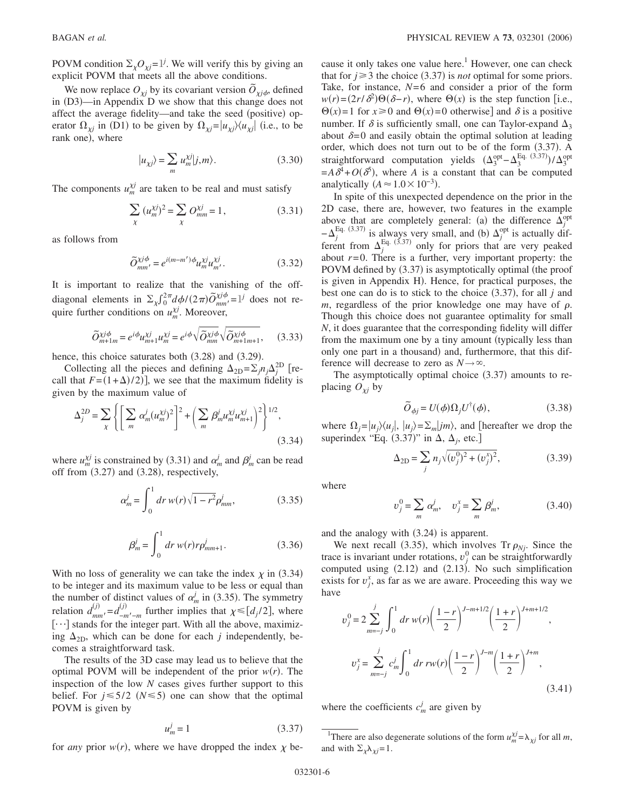POVM condition  $\Sigma_{\chi}O_{\chi j} = \mathbb{I}^{j}$ . We will verify this by giving an explicit POVM that meets all the above conditions.

We now replace  $O_{\chi j}$  by its covariant version  $\tilde{O}_{\chi j \phi}$ , defined in (D3)—in Appendix D we show that this change does not affect the average fidelity—and take the seed (positive) operator  $\Omega_{\chi j}$  in (D1) to be given by  $\Omega_{\chi j} = |u_{\chi j}\rangle \langle u_{\chi j}|$  (i.e., to be rank one), where

$$
|u_{\chi j}\rangle = \sum_{m} u_{m}^{\chi j} |j, m\rangle. \tag{3.30}
$$

The components  $u_m^{\chi j}$  are taken to be real and must satisfy

$$
\sum_{\chi} (u_m^{\chi j})^2 = \sum_{\chi} O_{mm}^{\chi j} = 1, \qquad (3.31)
$$

as follows from

$$
\widetilde{O}_{mm'}^{\chi j\phi} = e^{i(m-m')\phi} u_m^{\chi j} u_{m'}^{\chi j}.
$$
\n(3.32)

It is important to realize that the vanishing of the offdiagonal elements in  $\Sigma_{\chi} \int_0^{2\pi} d\phi / (2\pi) \tilde{O}_{mm'}^{\chi j\phi}$  $\chi^{j\phi}_{mn'} = l^{j}$  does not require further conditions on  $u_m^{\chi j}$ . Moreover,

$$
\widetilde{O}_{m+1m}^{\chi j\phi} = e^{i\phi} u_{m+1}^{\chi j} u_m^{\chi j} = e^{i\phi} \sqrt{\widetilde{O}_{mm}^{\chi j\phi}} \sqrt{\widetilde{O}_{m+1m+1}^{\chi j\phi}},\tag{3.33}
$$

hence, this choice saturates both  $(3.28)$  and  $(3.29)$ .

Collecting all the pieces and defining  $\Delta_{2D} = \sum_j n_j \Delta_j^{2D}$  [recall that  $F = (1 + \Delta)/2$ ), we see that the maximum fidelity is given by the maximum value of

$$
\Delta_j^{2D} = \sum_{\chi} \left\{ \left[ \sum_m \alpha_m^j (u_m^{\chi j})^2 \right]^2 + \left( \sum_m \beta_m^j u_m^{\chi j} u_{m+1}^{\chi j} \right)^2 \right\}^{1/2},
$$
\n(3.34)

where  $u_m^{\chi j}$  is constrained by (3.31) and  $\alpha_m^j$  and  $\beta_m^j$  can be read off from  $(3.27)$  and  $(3.28)$ , respectively,

$$
\alpha_m^j = \int_0^1 dr \, w(r) \sqrt{1 - r^2} \rho_{mm}^j,\tag{3.35}
$$

$$
\beta_m^j = \int_0^1 dr \, w(r) r \rho_{mm+1}^j.
$$
 (3.36)

With no loss of generality we can take the index  $\chi$  in (3.34) to be integer and its maximum value to be less or equal than the number of distinct values of  $\alpha_m^j$  in (3.35). The symmetry relation  $d_{mm'}^{(j)} = d_{-m'-m}^{(j)}$  further implies that  $\chi \leq [d_j/2]$ , where  $[\cdot \cdot \cdot]$  stands for the integer part. With all the above, maximizing  $\Delta_{2D}$ , which can be done for each *j* independently, becomes a straightforward task.

The results of the 3D case may lead us to believe that the optimal POVM will be independent of the prior  $w(r)$ . The inspection of the low *N* cases gives further support to this belief. For  $j \leq 5/2$  ( $N \leq 5$ ) one can show that the optimal POVM is given by

$$
u_m^j = 1\tag{3.37}
$$

for *any* prior  $w(r)$ , where we have dropped the index  $\chi$  be-

cause it only takes one value here.<sup>1</sup> However, one can check that for  $j \geq 3$  the choice (3.37) is *not* optimal for some priors. Take, for instance, *N*=6 and consider a prior of the form  $w(r) = (2r/\delta^2)\Theta(\delta - r)$ , where  $\Theta(x)$  is the step function [i.e.,  $\Theta(x) = 1$  for  $x \ge 0$  and  $\Theta(x) = 0$  otherwise] and  $\delta$  is a positive number. If  $\delta$  is sufficiently small, one can Taylor-expand  $\Delta_3$ about  $\delta=0$  and easily obtain the optimal solution at leading order, which does not turn out to be of the form (3.37). A straightforward computation yields  $(\Delta_3^{\text{opt}} - \Delta_3^{\text{Eq. (3.37)}})/\Delta_3^{\text{opt}}$  $=A\delta^4+O(\delta^5)$ , where *A* is a constant that can be computed analytically  $(A \approx 1.0 \times 10^{-3})$ .

In spite of this unexpected dependence on the prior in the 2D case, there are, however, two features in the example above that are completely general: (a) the difference  $\Delta_j^{\text{opt}}$  $-\Delta_j^{\text{Eq. (3.37)}}$  is always very small, and (b)  $\Delta_j^{\text{opt}}$  is actually different from  $\Delta_j^{\text{Eq.}}$  (3.37) only for priors that are very peaked about  $r=0$ . There is a further, very important property: the POVM defined by (3.37) is asymptotically optimal (the proof is given in Appendix H). Hence, for practical purposes, the best one can do is to stick to the choice  $(3.37)$ , for all  $j$  and  $m$ , regardless of the prior knowledge one may have of  $\rho$ . Though this choice does not guarantee optimality for small *N*, it does guarantee that the corresponding fidelity will differ from the maximum one by a tiny amount (typically less than only one part in a thousand) and, furthermore, that this difference will decrease to zero as  $N \rightarrow \infty$ .

The asymptotically optimal choice  $(3.37)$  amounts to replacing  $O_{\chi i}$  by

$$
\widetilde{O}_{\phi j} = U(\phi)\Omega_j U^{\dagger}(\phi),\tag{3.38}
$$

where  $\Omega_i = |u_i\rangle\langle u_i|, |u_i\rangle = \Sigma_m |jm\rangle$ , and [hereafter we drop the superindex "Eq.  $(3.37)$ " in  $\Delta$ ,  $\Delta_j$ , etc.]

$$
\Delta_{2D} = \sum_{j} n_j \sqrt{(v_j^0)^2 + (v_j^x)^2},
$$
\n(3.39)

where

$$
v_j^0 = \sum_m \alpha_m^j, \quad v_j^x = \sum_m \beta_m^j,
$$
 (3.40)

and the analogy with (3.24) is apparent.

We next recall (3.35), which involves  $Tr \rho_{Nj}$ . Since the trace is invariant under rotations,  $v_j^0$  can be straightforwardly computed using  $(2.12)$  and  $(2.13)$ . No such simplification exists for  $v_j^x$ , as far as we are aware. Proceeding this way we have

$$
v_j^0 = 2 \sum_{m=-j}^j \int_0^1 dr \, w(r) \left(\frac{1-r}{2}\right)^{J-m+1/2} \left(\frac{1+r}{2}\right)^{J+m+1/2},
$$
  

$$
v_j^x = \sum_{m=-j}^j c_m^j \int_0^1 dr \, rw(r) \left(\frac{1-r}{2}\right)^{J-m} \left(\frac{1+r}{2}\right)^{J+m},
$$
  
(3.41)

where the coefficients  $c_m^j$  are given by

<sup>&</sup>lt;sup>1</sup>There are also degenerate solutions of the form  $u_m^{\chi j} = \lambda_{\chi j}$  for all *m*, and with  $\Sigma_{\gamma} \lambda_{\gamma} = 1$ .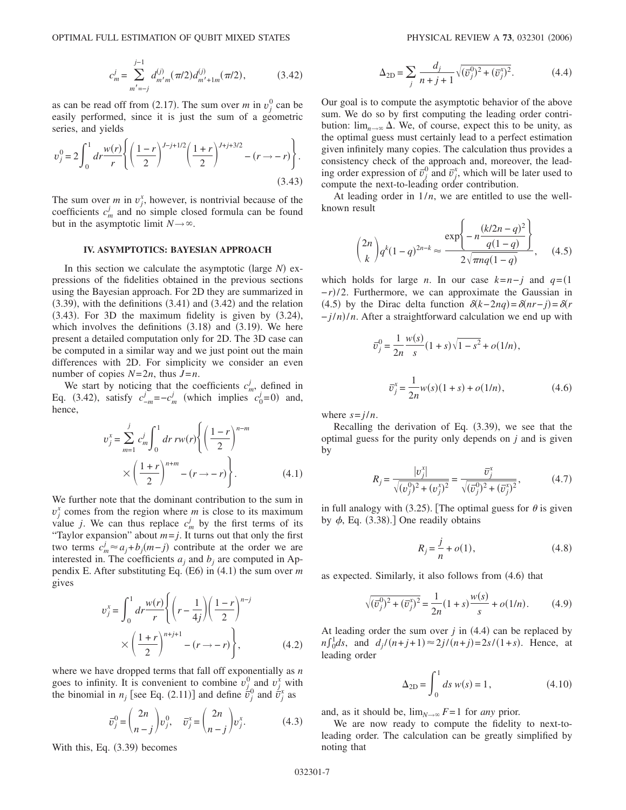$$
c_m^j = \sum_{m'=-j}^{j-1} d_{m'm}^{(j)}(\pi/2) d_{m'+1m}^{(j)}(\pi/2),
$$
 (3.42)

as can be read off from (2.17). The sum over *m* in  $v_j^0$  can be easily performed, since it is just the sum of a geometric series, and yields

$$
v_j^0 = 2 \int_0^1 dr \frac{w(r)}{r} \left\{ \left( \frac{1-r}{2} \right)^{J-j+1/2} \left( \frac{1+r}{2} \right)^{J+j+3/2} - (r \to -r) \right\}.
$$
\n(3.43)

The sum over *m* in  $v_j^x$ , however, is nontrivial because of the coefficients  $c_m^j$  and no simple closed formula can be found but in the asymptotic limit  $N \rightarrow \infty$ .

#### **IV. ASYMPTOTICS: BAYESIAN APPROACH**

In this section we calculate the asymptotic (large  $N$ ) expressions of the fidelities obtained in the previous sections using the Bayesian approach. For 2D they are summarized in  $(3.39)$ , with the definitions  $(3.41)$  and  $(3.42)$  and the relation  $(3.43)$ . For 3D the maximum fidelity is given by  $(3.24)$ , which involves the definitions  $(3.18)$  and  $(3.19)$ . We here present a detailed computation only for 2D. The 3D case can be computed in a similar way and we just point out the main differences with 2D. For simplicity we consider an even number of copies  $N=2n$ , thus  $J=n$ .

We start by noticing that the coefficients  $c_m^j$ , defined in Eq. (3.42), satisfy  $c_{-m}^j = -c_m^j$  (which implies  $c_0^j = 0$ ) and, hence,

$$
v_j^x = \sum_{m=1}^j c_m^j \int_0^1 dr \, rw(r) \left\{ \left(\frac{1-r}{2}\right)^{n-m} \times \left(\frac{1+r}{2}\right)^{n+m} - (r \to -r) \right\}.
$$
 (4.1)

We further note that the dominant contribution to the sum in  $v_j^x$  comes from the region where *m* is close to its maximum value *j*. We can thus replace  $c_m^j$  by the first terms of its "Taylor expansion" about  $m = j$ . It turns out that only the first two terms  $c_m^j \approx a_j + b_j(m-j)$  contribute at the order we are interested in. The coefficients  $a_i$  and  $b_j$  are computed in Appendix E. After substituting Eq.  $(E6)$  in  $(4.1)$  the sum over *m* gives

$$
v_j^x = \int_0^1 dr \frac{w(r)}{r} \left\{ \left( r - \frac{1}{4j} \right) \left( \frac{1-r}{2} \right)^{n-j} \right\}
$$

$$
\times \left( \frac{1+r}{2} \right)^{n+j+1} - (r \to -r) \left\},\tag{4.2}
$$

where we have dropped terms that fall off exponentially as *n* goes to infinity. It is convenient to combine  $v_j^0$  and  $v_j^x$  with the binomial in  $n_j$  [see Eq. (2.11)] and define  $\overline{v_j^0}$  and  $\overline{v_j^x}$  as

$$
\overline{v}_j^0 = \binom{2n}{n-j} v_j^0, \quad \overline{v}_j^x = \binom{2n}{n-j} v_j^x. \tag{4.3}
$$

With this, Eq.  $(3.39)$  becomes

$$
\Delta_{2D} = \sum_{j} \frac{d_j}{n+j+1} \sqrt{(\bar{v}_j^0)^2 + (\bar{v}_j^x)^2}.
$$
 (4.4)

Our goal is to compute the asymptotic behavior of the above sum. We do so by first computing the leading order contribution:  $\lim_{n\to\infty} \Delta$ . We, of course, expect this to be unity, as the optimal guess must certainly lead to a perfect estimation given infinitely many copies. The calculation thus provides a consistency check of the approach and, moreover, the leading order expression of  $\bar{v}_j^0$  and  $\bar{v}_j^x$ , which will be later used to compute the next-to-leading order contribution.

At leading order in  $1/n$ , we are entitled to use the wellknown result

$$
\binom{2n}{k} q^k (1-q)^{2n-k} \approx \frac{\exp\left\{-n\frac{(k/2n-q)^2}{q(1-q)}\right\}}{2\sqrt{\pi n q(1-q)}}, \quad (4.5)
$$

which holds for large *n*. In our case  $k=n-j$  and  $q=(1$  $-r$ )/2. Furthermore, we can approximate the Gaussian in (4.5) by the Dirac delta function  $\delta(k-2nq) = \delta(nr-j) = \delta(r)$ − *j*/*n*-/*n*. After a straightforward calculation we end up with

$$
\bar{v}_j^0 = \frac{1}{2n} \frac{w(s)}{s} (1+s) \sqrt{1-s^2} + o(1/n),
$$
  

$$
\bar{v}_j^x = \frac{1}{2n} w(s) (1+s) + o(1/n),
$$
 (4.6)

where  $s = j/n$ .

Recalling the derivation of Eq.  $(3.39)$ , we see that the optimal guess for the purity only depends on *j* and is given by

$$
R_j = \frac{|v_j^x|}{\sqrt{(v_j^0)^2 + (v_j^x)^2}} = \frac{\bar{v}_j^x}{\sqrt{(\bar{v}_j^0)^2 + (\bar{v}_j^x)^2}},\tag{4.7}
$$

in full analogy with (3.25). [The optimal guess for  $\theta$  is given by  $\phi$ , Eq. (3.38).] One readily obtains

$$
R_j = \frac{j}{n} + o(1),
$$
\n(4.8)

as expected. Similarly, it also follows from  $(4.6)$  that

$$
\sqrt{(\overline{v}_j^0)^2 + (\overline{v}_j^x)^2} = \frac{1}{2n}(1+s)\frac{w(s)}{s} + o(1/n). \tag{4.9}
$$

At leading order the sum over  $j$  in  $(4.4)$  can be replaced by  $n \int_0^1 ds$ , and  $d_j/(n+j+1) \approx 2j/(n+j) = 2s/(1+s)$ . Hence, at leading order

$$
\Delta_{2D} = \int_0^1 ds \ w(s) = 1, \tag{4.10}
$$

and, as it should be,  $\lim_{N\to\infty} F=1$  for *any* prior.

We are now ready to compute the fidelity to next-toleading order. The calculation can be greatly simplified by noting that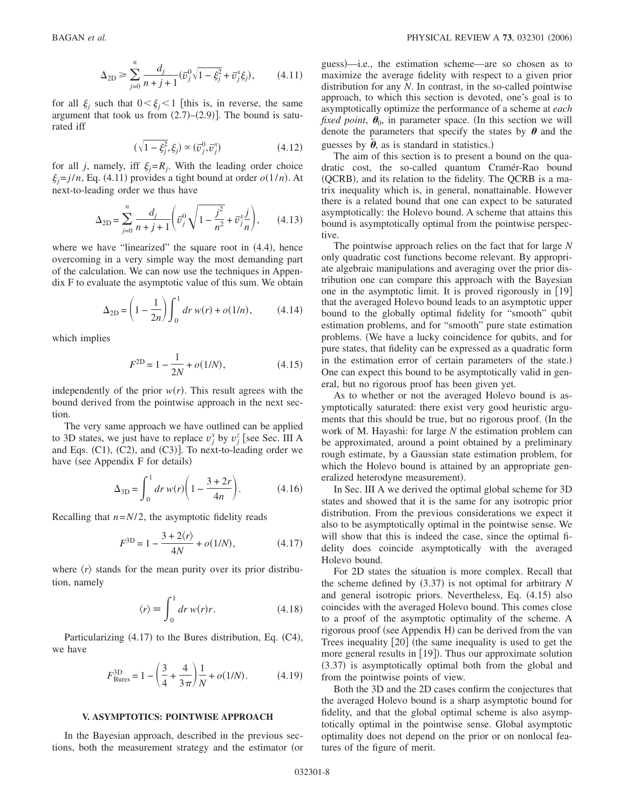$$
\Delta_{2D} \ge \sum_{j=0}^{n} \frac{d_j}{n+j+1} (\bar{v}_j^0 \sqrt{1-\xi_j^2} + \bar{v}_j^x \xi_j), \qquad (4.11)
$$

for all  $\xi$ <sub>i</sub> such that  $0 \le \xi$ <sup>i</sup>/<sub>i</sub> this is, in reverse, the same argument that took us from  $(2.7)$ – $(2.9)$ ]. The bound is saturated iff

$$
(\sqrt{1-\xi_j^2},\xi_j) \propto (\bar{v}_j^0,\bar{v}_j^x) \tag{4.12}
$$

for all *j*, namely, iff  $\xi_i = R_i$ . With the leading order choice  $\xi_j = j/n$ , Eq. (4.11) provides a tight bound at order  $o(1/n)$ . At next-to-leading order we thus have

$$
\Delta_{2D} = \sum_{j=0}^{n} \frac{d_j}{n+j+1} \left( \overline{\overline{v}_j^0} \sqrt{1 - \frac{j^2}{n^2}} + \overline{\overline{v}_j^x} \frac{j}{n} \right), \qquad (4.13)
$$

where we have "linearized" the square root in  $(4.4)$ , hence overcoming in a very simple way the most demanding part of the calculation. We can now use the techniques in Appendix F to evaluate the asymptotic value of this sum. We obtain

$$
\Delta_{2D} = \left(1 - \frac{1}{2n}\right) \int_0^1 dr \, w(r) + o(1/n), \tag{4.14}
$$

which implies

$$
F^{\rm 2D} = 1 - \frac{1}{2N} + o(1/N),\tag{4.15}
$$

independently of the prior  $w(r)$ . This result agrees with the bound derived from the pointwise approach in the next section.

The very same approach we have outlined can be applied to 3D states, we just have to replace  $v_j^x$  by  $v_j^z$  [see Sec. III A and Eqs.  $(C1)$ ,  $(C2)$ , and  $(C3)$ ]. To next-to-leading order we have (see Appendix F for details)

$$
\Delta_{3D} = \int_0^1 dr \, w(r) \bigg( 1 - \frac{3 + 2r}{4n} \bigg). \tag{4.16}
$$

Recalling that  $n=N/2$ , the asymptotic fidelity reads

$$
F^{3D} = 1 - \frac{3 + 2\langle r \rangle}{4N} + o(1/N), \tag{4.17}
$$

where  $\langle r \rangle$  stands for the mean purity over its prior distribution, namely

$$
\langle r \rangle \equiv \int_0^1 dr \, w(r)r. \tag{4.18}
$$

Particularizing (4.17) to the Bures distribution, Eq. (C4), we have

$$
F_{\text{Bures}}^{3D} = 1 - \left(\frac{3}{4} + \frac{4}{3\pi}\right) \frac{1}{N} + o(1/N). \tag{4.19}
$$

#### **V. ASYMPTOTICS: POINTWISE APPROACH**

In the Bayesian approach, described in the previous sections, both the measurement strategy and the estimator (or

guess)—i.e., the estimation scheme—are so chosen as to maximize the average fidelity with respect to a given prior distribution for any *N*. In contrast, in the so-called pointwise approach, to which this section is devoted, one's goal is to asymptotically optimize the performance of a scheme at *each fixed point*,  $\theta_0$ , in parameter space. (In this section we will denote the parameters that specify the states by  $\theta$  and the guesses by  $\hat{\theta}$ , as is standard in statistics.)

The aim of this section is to present a bound on the quadratic cost, the so-called quantum Cramér-Rao bound (QCRB), and its relation to the fidelity. The QCRB is a matrix inequality which is, in general, nonattainable. However there is a related bound that one can expect to be saturated asymptotically: the Holevo bound. A scheme that attains this bound is asymptotically optimal from the pointwise perspective.

The pointwise approach relies on the fact that for large *N* only quadratic cost functions become relevant. By appropriate algebraic manipulations and averaging over the prior distribution one can compare this approach with the Bayesian one in the asymptotic limit. It is proved rigorously in  $[19]$ that the averaged Holevo bound leads to an asymptotic upper bound to the globally optimal fidelity for "smooth" qubit estimation problems, and for "smooth" pure state estimation problems. We have a lucky coincidence for qubits, and for pure states, that fidelity can be expressed as a quadratic form in the estimation error of certain parameters of the state.) One can expect this bound to be asymptotically valid in general, but no rigorous proof has been given yet.

As to whether or not the averaged Holevo bound is asymptotically saturated: there exist very good heuristic arguments that this should be true, but no rigorous proof. (In the work of M. Hayashi: for large *N* the estimation problem can be approximated, around a point obtained by a preliminary rough estimate, by a Gaussian state estimation problem, for which the Holevo bound is attained by an appropriate generalized heterodyne measurement).

In Sec. III A we derived the optimal global scheme for 3D states and showed that it is the same for any isotropic prior distribution. From the previous considerations we expect it also to be asymptotically optimal in the pointwise sense. We will show that this is indeed the case, since the optimal fidelity does coincide asymptotically with the averaged Holevo bound.

For 2D states the situation is more complex. Recall that the scheme defined by (3.37) is not optimal for arbitrary *N* and general isotropic priors. Nevertheless, Eq. (4.15) also coincides with the averaged Holevo bound. This comes close to a proof of the asymptotic optimality of the scheme. A rigorous proof (see Appendix H) can be derived from the van Trees inequality  $\lceil 20 \rceil$  (the same inequality is used to get the more general results in [19]). Thus our approximate solution (3.37) is asymptotically optimal both from the global and from the pointwise points of view.

Both the 3D and the 2D cases confirm the conjectures that the averaged Holevo bound is a sharp asymptotic bound for fidelity, and that the global optimal scheme is also asymptotically optimal in the pointwise sense. Global asymptotic optimality does not depend on the prior or on nonlocal features of the figure of merit.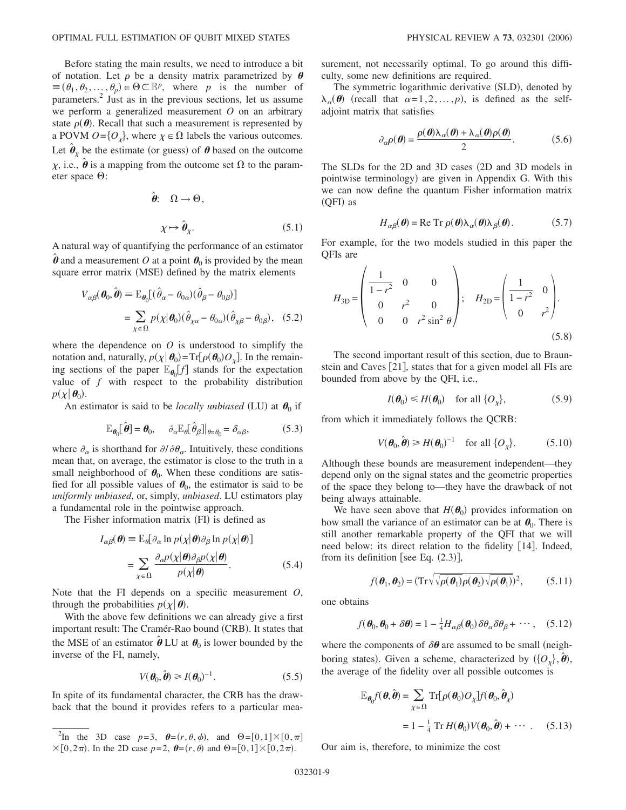Before stating the main results, we need to introduce a bit of notation. Let  $\rho$  be a density matrix parametrized by  $\theta$  $\equiv (\theta_1, \theta_2, ..., \theta_p) \in \Theta \subset \mathbb{R}^p$ , where *p* is the number of parameters.<sup>2</sup> Just as in the previous sections, let us assume we perform a generalized measurement *O* on an arbitrary state  $\rho(\theta)$ . Recall that such a measurement is represented by a POVM  $O = \{O_{\chi}\}\text{, where } \chi \in \Omega \text{ labels the various outcomes.}$ Let  $\hat{\boldsymbol{\theta}}_{\chi}$  be the estimate (or guess) of  $\boldsymbol{\theta}$  based on the outcome  $\chi$ , i.e.,  $\hat{\boldsymbol{\theta}}$  is a mapping from the outcome set  $\Omega$  to the parameter space  $\Theta$ :

$$
\hat{\theta}: \quad \Omega \to \Theta,
$$
  

$$
\chi \mapsto \hat{\theta}_{\chi}. \tag{5.1}
$$

A natural way of quantifying the performance of an estimator  $\hat{\boldsymbol{\theta}}$  and a measurement *O* at a point  $\boldsymbol{\theta}_0$  is provided by the mean square error matrix (MSE) defined by the matrix elements

$$
V_{\alpha\beta}(\boldsymbol{\theta}_0, \hat{\boldsymbol{\theta}}) \equiv \mathbb{E}_{\boldsymbol{\theta}_0} [(\hat{\theta}_{\alpha} - \theta_{0\alpha})(\hat{\theta}_{\beta} - \theta_{0\beta})]
$$
  
= 
$$
\sum_{\chi \in \Omega} p(\chi | \boldsymbol{\theta}_0)(\hat{\theta}_{\chi\alpha} - \theta_{0\alpha})(\hat{\theta}_{\chi\beta} - \theta_{0\beta}), \quad (5.2)
$$

where the dependence on *O* is understood to simplify the notation and, naturally,  $p(\chi | \boldsymbol{\theta}_0) = Tr[\rho(\boldsymbol{\theta}_0) O_{\chi}]$ . In the remaining sections of the paper  $\mathbb{E}_{\theta_0}[f]$  stands for the expectation value of *f* with respect to the probability distribution  $p(\chi | \boldsymbol{\theta}_0)$ .

An estimator is said to be *locally unbiased* (LU) at  $\theta_0$  if

$$
\mathbb{E}_{\theta_0}[\hat{\boldsymbol{\theta}}] = \boldsymbol{\theta}_0, \quad \partial_{\alpha} \mathbb{E}_{\theta}[\hat{\theta}_{\beta}]|_{\theta = \theta_0} = \delta_{\alpha\beta}, \tag{5.3}
$$

where  $\partial_{\alpha}$  is shorthand for  $\partial/\partial \theta_{\alpha}$ . Intuitively, these conditions mean that, on average, the estimator is close to the truth in a small neighborhood of  $\theta_0$ . When these conditions are satisfied for all possible values of  $\theta_0$ , the estimator is said to be *uniformly unbiased*, or, simply, *unbiased*. LU estimators play a fundamental role in the pointwise approach.

The Fisher information matrix (FI) is defined as

$$
I_{\alpha\beta}(\boldsymbol{\theta}) = \mathbb{E}_{\theta} [\partial_{\alpha} \ln p(\chi | \boldsymbol{\theta}) \partial_{\beta} \ln p(\chi | \boldsymbol{\theta})]
$$
  
= 
$$
\sum_{\chi \in \Omega} \frac{\partial_{\alpha} p(\chi | \boldsymbol{\theta}) \partial_{\beta} p(\chi | \boldsymbol{\theta})}{p(\chi | \boldsymbol{\theta})}.
$$
 (5.4)

Note that the FI depends on a specific measurement *O*, through the probabilities  $p(\chi | \boldsymbol{\theta})$ .

With the above few definitions we can already give a first important result: The Cramér-Rao bound (CRB). It states that the MSE of an estimator  $\hat{\boldsymbol{\theta}}$  LU at  $\boldsymbol{\theta}_0$  is lower bounded by the inverse of the FI, namely,

$$
V(\boldsymbol{\theta}_0, \hat{\boldsymbol{\theta}}) \ge I(\boldsymbol{\theta}_0)^{-1}.
$$
 (5.5)

In spite of its fundamental character, the CRB has the drawback that the bound it provides refers to a particular measurement, not necessarily optimal. To go around this difficulty, some new definitions are required.

The symmetric logarithmic derivative (SLD), denoted by  $\lambda_{\alpha}(\boldsymbol{\theta})$  (recall that  $\alpha=1,2,\ldots,p$ ), is defined as the selfadjoint matrix that satisfies

$$
\partial_{\alpha}\rho(\theta) = \frac{\rho(\theta)\lambda_{\alpha}(\theta) + \lambda_{\alpha}(\theta)\rho(\theta)}{2}.
$$
 (5.6)

The SLDs for the 2D and 3D cases (2D and 3D models in pointwise terminology) are given in Appendix G. With this we can now define the quantum Fisher information matrix (QFI) as

$$
H_{\alpha\beta}(\boldsymbol{\theta}) = \text{Re Tr } \rho(\boldsymbol{\theta}) \lambda_{\alpha}(\boldsymbol{\theta}) \lambda_{\beta}(\boldsymbol{\theta}).
$$
 (5.7)

For example, for the two models studied in this paper the QFIs are

$$
H_{3D} = \begin{pmatrix} \frac{1}{1-r^2} & 0 & 0 \\ 0 & r^2 & 0 \\ 0 & 0 & r^2 \sin^2 \theta \end{pmatrix}; \quad H_{2D} = \begin{pmatrix} \frac{1}{1-r^2} & 0 \\ 0 & r^2 \end{pmatrix}.
$$
 (5.8)

The second important result of this section, due to Braunstein and Caves  $[21]$ , states that for a given model all FIs are bounded from above by the QFI, i.e.,

$$
I(\boldsymbol{\theta}_0) \le H(\boldsymbol{\theta}_0) \quad \text{for all } \{O_{\chi}\}, \tag{5.9}
$$

from which it immediately follows the QCRB:

$$
V(\boldsymbol{\theta}_0, \hat{\boldsymbol{\theta}}) \ge H(\boldsymbol{\theta}_0)^{-1} \quad \text{for all } \{O_\chi\}. \tag{5.10}
$$

Although these bounds are measurement independent—they depend only on the signal states and the geometric properties of the space they belong to—they have the drawback of not being always attainable.

We have seen above that  $H(\theta_0)$  provides information on how small the variance of an estimator can be at  $\theta_0$ . There is still another remarkable property of the QFI that we will need below: its direct relation to the fidelity [14]. Indeed, from its definition [see Eq.  $(2.3)$ ],

$$
f(\boldsymbol{\theta}_1, \boldsymbol{\theta}_2) = (\mathrm{Tr}\sqrt{\sqrt{\rho(\boldsymbol{\theta}_1)}\rho(\boldsymbol{\theta}_2)}\sqrt{\rho(\boldsymbol{\theta}_1)})^2, \qquad (5.11)
$$

one obtains

$$
f(\boldsymbol{\theta}_0, \boldsymbol{\theta}_0 + \delta \boldsymbol{\theta}) = 1 - \frac{1}{4} H_{\alpha\beta}(\boldsymbol{\theta}_0) \delta \theta_{\alpha} \delta \theta_{\beta} + \cdots, \quad (5.12)
$$

where the components of  $\delta\theta$  are assumed to be small (neighboring states). Given a scheme, characterized by  $(\{O_\chi\},\hat{\boldsymbol{\theta}}),$ the average of the fidelity over all possible outcomes is

$$
\mathbb{E}_{\theta_0} f(\theta, \hat{\theta}) = \sum_{\chi \in \Omega} \text{Tr}[\rho(\theta_0) O_{\chi}] f(\theta_0, \hat{\theta}_{\chi})
$$

$$
= 1 - \frac{1}{4} \text{Tr} H(\theta_0) V(\theta_0, \hat{\theta}) + \cdots . \quad (5.13)
$$

Our aim is, therefore, to minimize the cost

<sup>&</sup>lt;sup>2</sup>In the 3D case  $p=3$ ,  $\theta=(r,\theta,\phi)$ , and  $\Theta=[0,1]\times[0,\pi]$  $\times [0, 2\pi)$ . In the 2D case  $p=2$ ,  $\theta=(r, \theta)$  and  $\Theta=[0, 1]\times [0, 2\pi)$ .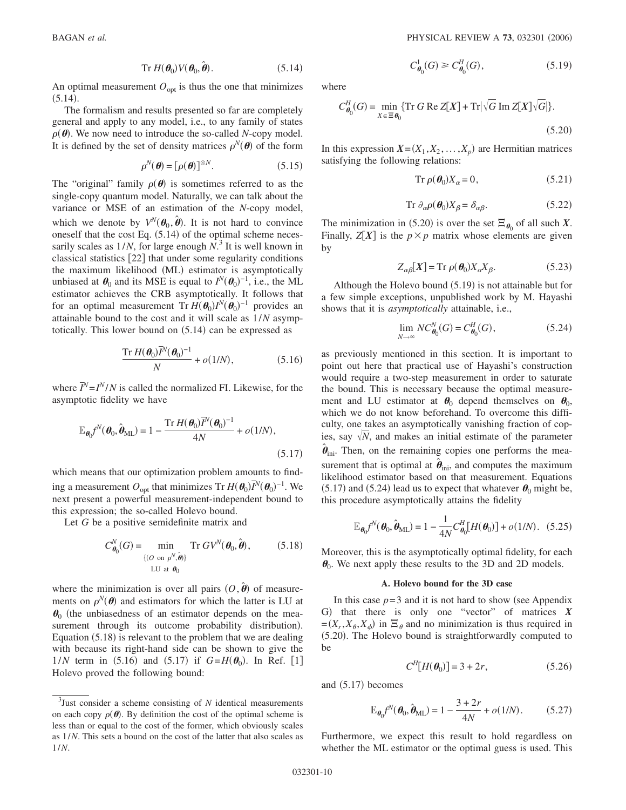$$
\operatorname{Tr} H(\boldsymbol{\theta}_0) V(\boldsymbol{\theta}_0, \hat{\boldsymbol{\theta}}). \tag{5.14}
$$

An optimal measurement  $O_{opt}$  is thus the one that minimizes  $(5.14).$ 

The formalism and results presented so far are completely general and apply to any model, i.e., to any family of states  $\rho(\theta)$ . We now need to introduce the so-called *N*-copy model. It is defined by the set of density matrices  $\rho^{N}(\theta)$  of the form

$$
\rho^N(\boldsymbol{\theta}) = [\rho(\boldsymbol{\theta})]^{\otimes N}.\tag{5.15}
$$

The "original" family  $\rho(\theta)$  is sometimes referred to as the single-copy quantum model. Naturally, we can talk about the variance or MSE of an estimation of the *N*-copy model, which we denote by  $V^N(\theta_0, \hat{\theta})$ . It is not hard to convince oneself that the cost Eq.  $(5.14)$  of the optimal scheme necessarily scales as  $1/N$ , for large enough  $N$ .<sup>3</sup> It is well known in classical statistics [22] that under some regularity conditions the maximum likelihood (ML) estimator is asymptotically unbiased at  $\theta_0$  and its MSE is equal to  $I^N(\theta_0)^{-1}$ , i.e., the ML estimator achieves the CRB asymptotically. It follows that for an optimal measurement  $Tr H(\theta_0)I^N(\theta_0)^{-1}$  provides an attainable bound to the cost and it will scale as 1/*N* asymptotically. This lower bound on (5.14) can be expressed as

$$
\frac{\mathrm{Tr}\,H(\boldsymbol{\theta}_0)\overline{I}^N(\boldsymbol{\theta}_0)^{-1}}{N} + o(1/N),\tag{5.16}
$$

where  $\overline{I}^N = I^N/N$  is called the normalized FI. Likewise, for the asymptotic fidelity we have

$$
\mathbb{E}_{\boldsymbol{\theta}_0} f^N(\boldsymbol{\theta}_0, \hat{\boldsymbol{\theta}}_{\text{ML}}) = 1 - \frac{\text{Tr}\, H(\boldsymbol{\theta}_0) \overline{f}^N(\boldsymbol{\theta}_0)^{-1}}{4N} + o(1/N),\tag{5.17}
$$

which means that our optimization problem amounts to finding a measurement  $O_{\text{opt}}$  that minimizes Tr  $H(\theta_0)\overline{I}^N(\theta_0)^{-1}$ . We next present a powerful measurement-independent bound to this expression; the so-called Holevo bound.

Let *G* be a positive semidefinite matrix and

$$
C_{\theta_0}^N(G) = \min_{\{ (O \text{ on } \rho^N, \hat{\theta}) \} \atop \text{LU at } \theta_0} \text{Tr } G V^N(\theta_0, \hat{\theta}), \tag{5.18}
$$

where the minimization is over all pairs  $(O, \hat{\boldsymbol{\theta}})$  of measurements on  $\rho^{N}(\theta)$  and estimators for which the latter is LU at  $\theta_0$  (the unbiasedness of an estimator depends on the measurement through its outcome probability distribution). Equation (5.18) is relevant to the problem that we are dealing with because its right-hand side can be shown to give the  $1/N$  term in (5.16) and (5.17) if  $G=H(\theta_0)$ . In Ref. [1] Holevo proved the following bound:

$$
C_{\theta_0}^1(G) \ge C_{\theta_0}^H(G),\tag{5.19}
$$

where

$$
C_{\theta_0}^H(G) = \min_{X \in \Xi \theta_0} \{ \operatorname{Tr} G \operatorname{Re} Z[X] + \operatorname{Tr} |\sqrt{G} \operatorname{Im} Z[X] \sqrt{G} | \}.
$$
\n(5.20)

In this expression  $X = (X_1, X_2, \ldots, X_p)$  are Hermitian matrices satisfying the following relations:

$$
\operatorname{Tr}\,\rho(\boldsymbol{\theta}_0)X_\alpha=0,\tag{5.21}
$$

$$
\operatorname{Tr} \partial_{\alpha} \rho(\boldsymbol{\theta}_0) X_{\beta} = \delta_{\alpha \beta}.
$$
 (5.22)

The minimization in (5.20) is over the set  $\Xi_{\theta_0}$  of all such *X*. Finally,  $Z[X]$  is the  $p \times p$  matrix whose elements are given by

$$
Z_{\alpha\beta}[X] = \text{Tr}\ \rho(\boldsymbol{\theta}_0) X_{\alpha} X_{\beta}.
$$
 (5.23)

Although the Holevo bound (5.19) is not attainable but for a few simple exceptions, unpublished work by M. Hayashi shows that it is *asymptotically* attainable, i.e.,

$$
\lim_{N \to \infty} NC_{\theta_0}^N(G) = C_{\theta_0}^H(G), \tag{5.24}
$$

as previously mentioned in this section. It is important to point out here that practical use of Hayashi's construction would require a two-step measurement in order to saturate the bound. This is necessary because the optimal measurement and LU estimator at  $\theta_0$  depend themselves on  $\theta_0$ , which we do not know beforehand. To overcome this difficulty, one takes an asymptotically vanishing fraction of copies, say  $\sqrt{N}$ , and makes an initial estimate of the parameter  $\hat{\theta}_{\text{ini}}$ . Then, on the remaining copies one performs the measurement that is optimal at  $\hat{\theta}_{\text{ini}}$ , and computes the maximum likelihood estimator based on that measurement. Equations (5.17) and (5.24) lead us to expect that whatever  $\theta_0$  might be, this procedure asymptotically attains the fidelity

$$
\mathbb{E}_{\boldsymbol{\theta}_0} f^N(\boldsymbol{\theta}_0, \hat{\boldsymbol{\theta}}_{\text{ML}}) = 1 - \frac{1}{4N} C_{\boldsymbol{\theta}_0}^H [H(\boldsymbol{\theta}_0)] + o(1/N). \quad (5.25)
$$

Moreover, this is the asymptotically optimal fidelity, for each  $\theta_0$ . We next apply these results to the 3D and 2D models.

#### **A. Holevo bound for the 3D case**

In this case  $p=3$  and it is not hard to show (see Appendix G) that there is only one "vector" of matrices X  $=(X_r, X_\theta, X_\phi)$  in  $\Xi_\theta$  and no minimization is thus required in (5.20). The Holevo bound is straightforwardly computed to be

$$
C^H[H(\theta_0)] = 3 + 2r, \qquad (5.26)
$$

and  $(5.17)$  becomes

$$
\mathbb{E}_{\theta_0} f^N(\theta_0, \hat{\theta}_{ML}) = 1 - \frac{3 + 2r}{4N} + o(1/N). \tag{5.27}
$$

Furthermore, we expect this result to hold regardless on whether the ML estimator or the optimal guess is used. This

<sup>3</sup> Just consider a scheme consisting of *N* identical measurements on each copy  $\rho(\theta)$ . By definition the cost of the optimal scheme is less than or equal to the cost of the former, which obviously scales as 1/*N*. This sets a bound on the cost of the latter that also scales as 1/*N*.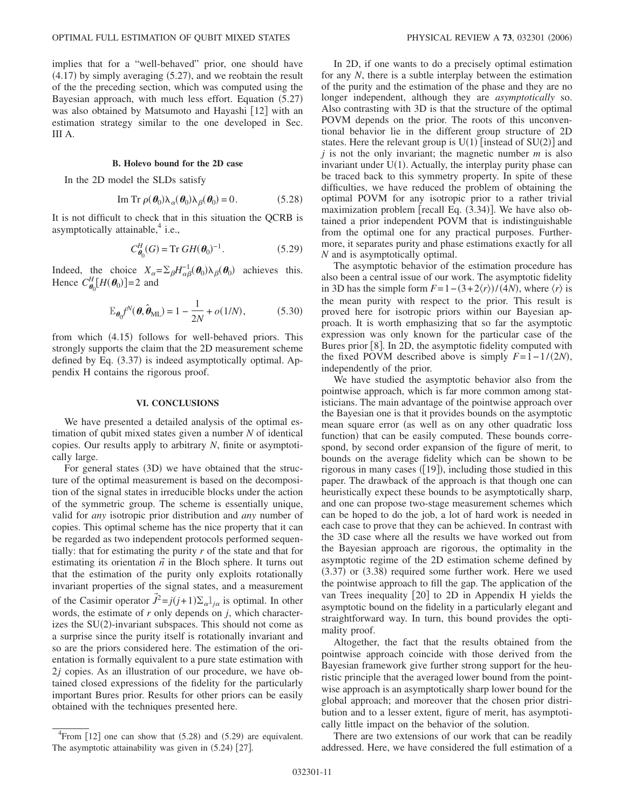implies that for a "well-behaved" prior, one should have  $(4.17)$  by simply averaging  $(5.27)$ , and we reobtain the result of the the preceding section, which was computed using the Bayesian approach, with much less effort. Equation (5.27) was also obtained by Matsumoto and Hayashi  $[12]$  with an estimation strategy similar to the one developed in Sec. III A.

### **B. Holevo bound for the 2D case**

In the 2D model the SLDs satisfy

Im Tr 
$$
\rho(\theta_0) \lambda_\alpha(\theta_0) \lambda_\beta(\theta_0) = 0.
$$
 (5.28)

It is not difficult to check that in this situation the QCRB is asymptotically attainable, $4$  i.e.,

$$
C_{\boldsymbol{\theta}_0}^H(G) = \text{Tr } GH(\boldsymbol{\theta}_0)^{-1}.
$$
 (5.29)

Indeed, the choice  $X_{\alpha} = \sum_{\beta} H_{\alpha\beta}^{-1}(\theta_0) \lambda_{\beta}(\theta_0)$  achieves this. Hence  $C_{\theta_0}^H[H(\theta_0)] = 2$  and

$$
\mathbb{E}_{\boldsymbol{\theta}_0} f^N(\boldsymbol{\theta}, \hat{\boldsymbol{\theta}}_{\text{ML}}) = 1 - \frac{1}{2N} + o(1/N), \tag{5.30}
$$

from which (4.15) follows for well-behaved priors. This strongly supports the claim that the 2D measurement scheme defined by Eq. (3.37) is indeed asymptotically optimal. Appendix H contains the rigorous proof.

#### **VI. CONCLUSIONS**

We have presented a detailed analysis of the optimal estimation of qubit mixed states given a number *N* of identical copies. Our results apply to arbitrary *N*, finite or asymptotically large.

For general states (3D) we have obtained that the structure of the optimal measurement is based on the decomposition of the signal states in irreducible blocks under the action of the symmetric group. The scheme is essentially unique, valid for *any* isotropic prior distribution and *any* number of copies. This optimal scheme has the nice property that it can be regarded as two independent protocols performed sequentially: that for estimating the purity  $r$  of the state and that for estimating its orientation  $\vec{n}$  in the Bloch sphere. It turns out that the estimation of the purity only exploits rotationally invariant properties of the signal states, and a measurement of the Casimir operator  $\vec{J}^2 = j(j+1)\sum_{\alpha} l_{j\alpha}$  is optimal. In other words, the estimate of *r* only depends on *j*, which characterizes the SU(2)-invariant subspaces. This should not come as a surprise since the purity itself is rotationally invariant and so are the priors considered here. The estimation of the orientation is formally equivalent to a pure state estimation with 2*j* copies. As an illustration of our procedure, we have obtained closed expressions of the fidelity for the particularly important Bures prior. Results for other priors can be easily obtained with the techniques presented here.

In 2D, if one wants to do a precisely optimal estimation for any *N*, there is a subtle interplay between the estimation of the purity and the estimation of the phase and they are no longer independent, although they are *asymptotically* so. Also contrasting with 3D is that the structure of the optimal POVM depends on the prior. The roots of this unconventional behavior lie in the different group structure of 2D states. Here the relevant group is  $U(1)$  [instead of  $SU(2)$ ] and *j* is not the only invariant; the magnetic number *m* is also invariant under  $U(1)$ . Actually, the interplay purity phase can be traced back to this symmetry property. In spite of these difficulties, we have reduced the problem of obtaining the optimal POVM for any isotropic prior to a rather trivial maximization problem [recall Eq. (3.34)]. We have also obtained a prior independent POVM that is indistinguishable from the optimal one for any practical purposes. Furthermore, it separates purity and phase estimations exactly for all *N* and is asymptotically optimal.

The asymptotic behavior of the estimation procedure has also been a central issue of our work. The asymptotic fidelity in 3D has the simple form  $F=1-(3+2\langle r\rangle)/(4N)$ , where  $\langle r\rangle$  is the mean purity with respect to the prior. This result is proved here for isotropic priors within our Bayesian approach. It is worth emphasizing that so far the asymptotic expression was only known for the particular case of the Bures prior  $[8]$ . In 2D, the asymptotic fidelity computed with the fixed POVM described above is simply  $F=1-1/(2N)$ , independently of the prior.

We have studied the asymptotic behavior also from the pointwise approach, which is far more common among statisticians. The main advantage of the pointwise approach over the Bayesian one is that it provides bounds on the asymptotic mean square error (as well as on any other quadratic loss function) that can be easily computed. These bounds correspond, by second order expansion of the figure of merit, to bounds on the average fidelity which can be shown to be rigorous in many cases ([19]), including those studied in this paper. The drawback of the approach is that though one can heuristically expect these bounds to be asymptotically sharp, and one can propose two-stage measurement schemes which can be hoped to do the job, a lot of hard work is needed in each case to prove that they can be achieved. In contrast with the 3D case where all the results we have worked out from the Bayesian approach are rigorous, the optimality in the asymptotic regime of the 2D estimation scheme defined by  $(3.37)$  or  $(3.38)$  required some further work. Here we used the pointwise approach to fill the gap. The application of the van Trees inequality  $[20]$  to 2D in Appendix H yields the asymptotic bound on the fidelity in a particularly elegant and straightforward way. In turn, this bound provides the optimality proof.

Altogether, the fact that the results obtained from the pointwise approach coincide with those derived from the Bayesian framework give further strong support for the heuristic principle that the averaged lower bound from the pointwise approach is an asymptotically sharp lower bound for the global approach; and moreover that the chosen prior distribution and to a lesser extent, figure of merit, has asymptotically little impact on the behavior of the solution.

There are two extensions of our work that can be readily addressed. Here, we have considered the full estimation of a

<sup>&</sup>lt;sup>4</sup>From [12] one can show that  $(5.28)$  and  $(5.29)$  are equivalent. The asymptotic attainability was given in  $(5.24)$  [27].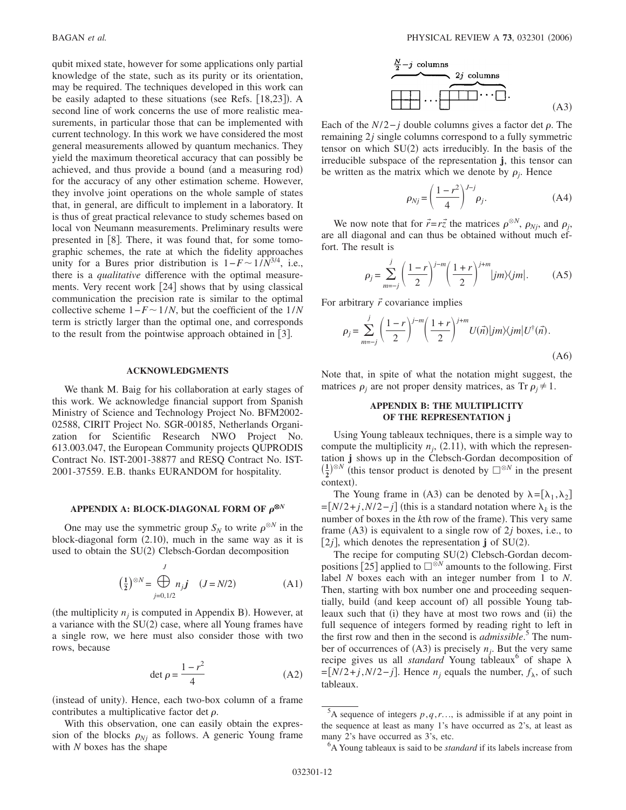qubit mixed state, however for some applications only partial knowledge of the state, such as its purity or its orientation, may be required. The techniques developed in this work can be easily adapted to these situations (see Refs. [18,23]). A second line of work concerns the use of more realistic measurements, in particular those that can be implemented with current technology. In this work we have considered the most general measurements allowed by quantum mechanics. They yield the maximum theoretical accuracy that can possibly be achieved, and thus provide a bound (and a measuring rod) for the accuracy of any other estimation scheme. However, they involve joint operations on the whole sample of states that, in general, are difficult to implement in a laboratory. It is thus of great practical relevance to study schemes based on local von Neumann measurements. Preliminary results were presented in  $\lceil 8 \rceil$ . There, it was found that, for some tomographic schemes, the rate at which the fidelity approaches unity for a Bures prior distribution is  $1-F \sim 1/N^{3/4}$ , i.e., there is a *qualitative* difference with the optimal measurements. Very recent work  $[24]$  shows that by using classical communication the precision rate is similar to the optimal collective scheme  $1-F \sim 1/N$ , but the coefficient of the  $1/N$ term is strictly larger than the optimal one, and corresponds to the result from the pointwise approach obtained in  $|3|$ .

#### **ACKNOWLEDGMENTS**

We thank M. Baig for his collaboration at early stages of this work. We acknowledge financial support from Spanish Ministry of Science and Technology Project No. BFM2002- 02588, CIRIT Project No. SGR-00185, Netherlands Organization for Scientific Research NWO Project No. 613.003.047, the European Community projects QUPRODIS Contract No. IST-2001-38877 and RESQ Contract No. IST-2001-37559. E.B. thanks EURANDOM for hospitality.

### APPENDIX A: BLOCK-DIAGONAL FORM OF  $\rho^{\otimes N}$

One may use the symmetric group  $S_N$  to write  $\rho^{\otimes N}$  in the block-diagonal form (2.10), much in the same way as it is used to obtain the SU(2) Clebsch-Gordan decomposition

$$
\left(\frac{1}{2}\right)^{\otimes N} = \bigoplus_{j=0,1/2}^{J} n_j j \quad (J = N/2)
$$
 (A1)

(the multiplicity  $n_j$  is computed in Appendix B). However, at a variance with the  $SU(2)$  case, where all Young frames have a single row, we here must also consider those with two rows, because

$$
\det \rho = \frac{1 - r^2}{4} \tag{A2}
$$

(instead of unity). Hence, each two-box column of a frame contributes a multiplicative factor det  $\rho$ .

With this observation, one can easily obtain the expression of the blocks  $\rho_{Nj}$  as follows. A generic Young frame with *N* boxes has the shape

$$
\begin{array}{c}\n \stackrel{N}{\longrightarrow} -j \text{ columns} \\
\hline\n 2j \text{ columns} \\
\hline\n \end{array}
$$
\n
$$
\begin{array}{c}\n 2j \text{ columns} \\
\hline\n \end{array}
$$
\n(A3)

Each of the  $N/2 - j$  double columns gives a factor det  $\rho$ . The remaining 2*j* single columns correspond to a fully symmetric tensor on which  $SU(2)$  acts irreducibly. In the basis of the irreducible subspace of the representation **j**, this tensor can be written as the matrix which we denote by  $\rho_j$ . Hence

$$
\rho_{Nj} = \left(\frac{1-r^2}{4}\right)^{J-j} \rho_j.
$$
\n(A4)

We now note that for  $\vec{r} = r\vec{z}$  the matrices  $\rho^{\otimes N}$ ,  $\rho_{Nj}$ , and  $\rho_j$ , are all diagonal and can thus be obtained without much effort. The result is

$$
\rho_j = \sum_{m=-j}^{j} \left(\frac{1-r}{2}\right)^{j-m} \left(\frac{1+r}{2}\right)^{j+m} |jm\rangle\langle jm|.
$$
 (A5)

For arbitrary  $\vec{r}$  covariance implies

$$
\rho_j = \sum_{m=-j}^{j} \left(\frac{1-r}{2}\right)^{j-m} \left(\frac{1+r}{2}\right)^{j+m} U(\vec{n}) |jm\rangle\langle jm| U^{\dagger}(\vec{n}).
$$
\n(A6)

Note that, in spite of what the notation might suggest, the matrices  $\rho_j$  are not proper density matrices, as Tr  $\rho_j \neq 1$ .

# **APPENDIX B: THE MULTIPLICITY OF THE REPRESENTATION j**

Using Young tableaux techniques, there is a simple way to compute the multiplicity  $n_j$ , (2.11), with which the representation **j** shows up in the Clebsch-Gordan decomposition of  $\left(\frac{1}{2}\right)^{\otimes N}$  (this tensor product is denoted by  $\square^{\otimes N}$  in the present context).

The Young frame in (A3) can be denoted by  $\lambda = [\lambda_1, \lambda_2]$  $=$ [*N*/2+*j*,*N*/2−*j*] (this is a standard notation where  $\lambda_k$  is the number of boxes in the *k*th row of the frame). This very same frame  $(A3)$  is equivalent to a single row of 2*j* boxes, i.e., to [2 $j$ ], which denotes the representation **j** of SU(2).

The recipe for computing SU(2) Clebsch-Gordan decompositions  $\lceil 25 \rceil$  applied to  $\Box^{\otimes N}$  amounts to the following. First label *N* boxes each with an integer number from 1 to *N*. Then, starting with box number one and proceeding sequentially, build (and keep account of) all possible Young tableaux such that (i) they have at most two rows and (ii) the full sequence of integers formed by reading right to left in the first row and then in the second is *admissible*. <sup>5</sup> The number of occurrences of  $(A3)$  is precisely  $n_j$ . But the very same recipe gives us all *standard* Young tableaux<sup>6</sup> of shape  $\lambda$  $=[N/2+j, N/2-j]$ . Hence *n<sub>i</sub>* equals the number,  $f_{\lambda}$ , of such tableaux.

<sup>&</sup>lt;sup>5</sup>A sequence of integers  $p, q, r...$ , is admissible if at any point in the sequence at least as many 1's have occurred as 2's, at least as many 2's have occurred as 3's, etc.

<sup>6</sup> A Young tableaux is said to be *standard* if its labels increase from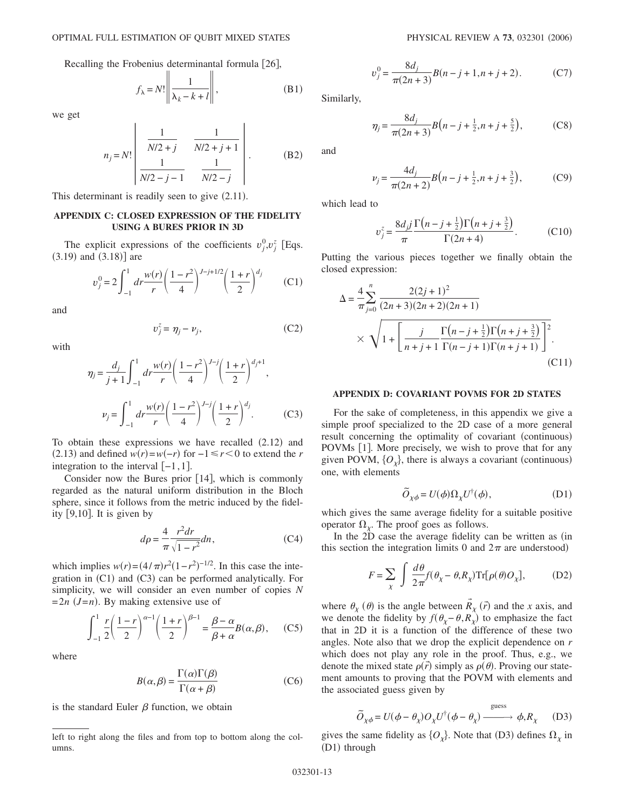Recalling the Frobenius determinantal formula [26],

$$
f_{\lambda} = N! \left\| \frac{1}{\lambda_k - k + l} \right\|,
$$
 (B1)

we get

$$
n_{j} = N! \left| \begin{array}{ccc} \frac{1}{N/2 + j} & \frac{1}{N/2 + j + 1} \\ \frac{1}{N/2 - j - 1} & \frac{1}{N/2 - j} \end{array} \right| .
$$
 (B2)

This determinant is readily seen to give  $(2.11)$ .

#### **APPENDIX C: CLOSED EXPRESSION OF THE FIDELITY USING A BURES PRIOR IN 3D**

The explicit expressions of the coefficients  $v_j^0, v_j^z$  [Eqs.  $(3.19)$  and  $(3.18)$ ] are

$$
v_j^0 = 2 \int_{-1}^1 dr \frac{w(r)}{r} \left(\frac{1-r^2}{4}\right)^{J-j+1/2} \left(\frac{1+r}{2}\right)^{d_j} \qquad (C1)
$$

and

$$
v_j^z = \eta_j - \nu_j,\tag{C2}
$$

with

$$
\eta_j = \frac{d_j}{j+1} \int_{-1}^1 dr \frac{w(r)}{r} \left(\frac{1-r^2}{4}\right)^{J-j} \left(\frac{1+r}{2}\right)^{d_j+1},
$$
  

$$
\nu_j = \int_{-1}^1 dr \frac{w(r)}{r} \left(\frac{1-r^2}{4}\right)^{J-j} \left(\frac{1+r}{2}\right)^{d_j}.
$$
 (C3)

To obtain these expressions we have recalled  $(2.12)$  and (2.13) and defined  $w(r) = w(-r)$  for  $-1 \le r < 0$  to extend the *r* integration to the interval  $[-1,1]$ .

Consider now the Bures prior  $[14]$ , which is commonly regarded as the natural uniform distribution in the Bloch sphere, since it follows from the metric induced by the fidelity  $[9,10]$ . It is given by

$$
d\rho = \frac{4}{\pi} \frac{r^2 dr}{\sqrt{1 - r^2}} dn,
$$
 (C4)

which implies  $w(r) = (4/\pi)r^2(1 - r^2)^{-1/2}$ . In this case the integration in (C1) and (C3) can be performed analytically. For simplicity, we will consider an even number of copies *N*  $=2n$  (*J*=*n*). By making extensive use of

$$
\int_{-1}^{1} \frac{r}{2} \left(\frac{1-r}{2}\right)^{\alpha-1} \left(\frac{1+r}{2}\right)^{\beta-1} = \frac{\beta-\alpha}{\beta+\alpha} B(\alpha,\beta), \quad (C5)
$$

where

$$
B(\alpha, \beta) = \frac{\Gamma(\alpha)\Gamma(\beta)}{\Gamma(\alpha + \beta)}
$$
 (C6)

is the standard Euler  $\beta$  function, we obtain

$$
v_j^0 = \frac{8d_j}{\pi(2n+3)}B(n-j+1, n+j+2). \tag{C7}
$$

Similarly,

$$
\eta_j = \frac{8d_j}{\pi(2n+3)} B(n-j+\frac{1}{2},n+j+\frac{5}{2}),\tag{C8}
$$

and

$$
\nu_j = \frac{4d_j}{\pi(2n+2)} B(n-j+\frac{1}{2},n+j+\frac{3}{2}),\tag{C9}
$$

which lead to

$$
v_j^z = \frac{8d_j j}{\pi} \frac{\Gamma(n-j+\frac{1}{2})\Gamma(n+j+\frac{3}{2})}{\Gamma(2n+4)}.
$$
 (C10)

Putting the various pieces together we finally obtain the closed expression:

$$
\Delta = \frac{4}{\pi} \sum_{j=0}^{n} \frac{2(2j+1)^2}{(2n+3)(2n+2)(2n+1)} \times \sqrt{1 + \left[ \frac{j}{n+j+1} \frac{\Gamma(n-j+\frac{1}{2})\Gamma(n+j+\frac{3}{2})}{\Gamma(n-j+1)\Gamma(n+j+1)} \right]^2}.
$$
\n(C11)

### **APPENDIX D: COVARIANT POVMS FOR 2D STATES**

For the sake of completeness, in this appendix we give a simple proof specialized to the 2D case of a more general result concerning the optimality of covariant (continuous) POVMs [1]. More precisely, we wish to prove that for any given POVM,  $\{O_{\chi}\}\$ , there is always a covariant (continuous) one, with elements

$$
\widetilde{O}_{\chi\phi} = U(\phi)\Omega_{\chi}U^{\dagger}(\phi),\tag{D1}
$$

which gives the same average fidelity for a suitable positive operator  $\Omega_{\chi}$ . The proof goes as follows.

In the 2D case the average fidelity can be written as (in this section the integration limits 0 and  $2\pi$  are understood)

$$
F = \sum_{\chi} \int \frac{d\theta}{2\pi} f(\theta_{\chi} - \theta, R_{\chi}) \text{Tr}[\rho(\theta) O_{\chi}], \quad (D2)
$$

→

where  $\theta_{\chi}$  ( $\theta$ ) is the angle between  $R_{\chi}$  ( $\vec{r}$ ) and the *x* axis, and we denote the fidelity by  $f(\theta_{\chi} - \theta, R_{\chi})$  to emphasize the fact that in 2D it is a function of the difference of these two angles. Note also that we drop the explicit dependence on *r* which does not play any role in the proof. Thus, e.g., we denote the mixed state  $\rho(\vec{r})$  simply as  $\rho(\theta)$ . Proving our statement amounts to proving that the POVM with elements and the associated guess given by

$$
\widetilde{O}_{\chi\phi} = U(\phi - \theta_{\chi})O_{\chi}U^{\dagger}(\phi - \theta_{\chi}) \xrightarrow{\text{guess}} \phi, R_{\chi} \quad (D3)
$$

gives the same fidelity as  $\{O_{\chi}\}\$ . Note that (D3) defines  $\Omega_{\chi}$  in (D1) through

left to right along the files and from top to bottom along the columns.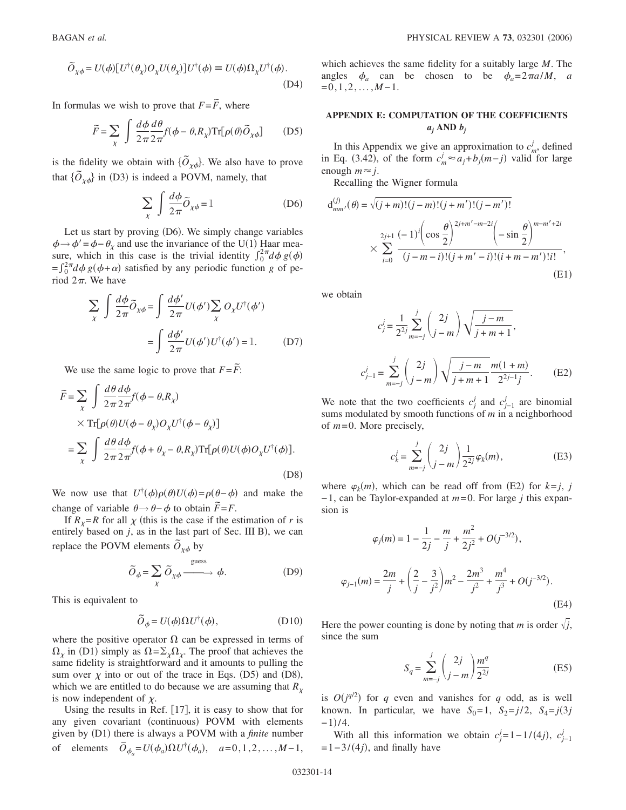$$
\label{eq:1.1} \tilde{O}_{\chi\phi}=U(\phi)[U^{\dagger}(\theta_{\chi})O_{\chi}U(\theta_{\chi})]U^{\dagger}(\phi)\equiv U(\phi)\Omega_{\chi}U^{\dagger}(\phi). \tag{D4}
$$

In formulas we wish to prove that  $F = \widetilde{F}$ , where

$$
\widetilde{F} = \sum_{\chi} \int \frac{d\phi}{2\pi} \frac{d\theta}{2\pi} f(\phi - \theta, R_{\chi}) \text{Tr}[\rho(\theta)\widetilde{O}_{\chi\phi}] \tag{D5}
$$

is the fidelity we obtain with  $\{\tilde{O}_{\chi\phi}\}$ . We also have to prove that  $\{\tilde{O}_{\chi\phi}\}\$  in (D3) is indeed a POVM, namely, that

$$
\sum_{\chi} \int \frac{d\phi}{2\pi} \tilde{O}_{\chi\phi} = 1
$$
 (D6)

Let us start by proving (D6). We simply change variables  $\phi \rightarrow \phi' = \phi - \theta_{\chi}$  and use the invariance of the U(1) Haar measure, which in this case is the trivial identity  $\int_0^{2\pi} d\phi g(\phi)$  $=\int_0^{2\pi} d\phi g(\phi + \alpha)$  satisfied by any periodic function *g* of period  $2\pi$ . We have

$$
\sum_{\chi} \int \frac{d\phi}{2\pi} \tilde{O}_{\chi\phi} = \int \frac{d\phi'}{2\pi} U(\phi') \sum_{\chi} O_{\chi} U^{\dagger}(\phi')
$$

$$
= \int \frac{d\phi'}{2\pi} U(\phi') U^{\dagger}(\phi') = 1. \tag{D7}
$$

We use the same logic to prove that  $F = \tilde{F}$ :

$$
\widetilde{F} = \sum_{\chi} \int \frac{d\theta}{2\pi} \frac{d\phi}{2\pi} f(\phi - \theta, R_{\chi})
$$
\n
$$
\times \operatorname{Tr}[\rho(\theta)U(\phi - \theta_{\chi})O_{\chi}U^{\dagger}(\phi - \theta_{\chi})]
$$
\n
$$
= \sum_{\chi} \int \frac{d\theta}{2\pi} \frac{d\phi}{2\pi} f(\phi + \theta_{\chi} - \theta, R_{\chi}) \operatorname{Tr}[\rho(\theta)U(\phi)O_{\chi}U^{\dagger}(\phi)].
$$
\n(D8)

We now use that  $U^{\dagger}(\phi)\rho(\theta)U(\phi) = \rho(\theta - \phi)$  and make the change of variable  $\theta \rightarrow \theta - \phi$  to obtain  $\tilde{F} = F$ .

If  $R_y=R$  for all  $\chi$  (this is the case if the estimation of *r* is entirely based on  $j$ , as in the last part of Sec. III B), we can replace the POVM elements  $\tilde{O}_{\chi\phi}$  by

$$
\widetilde{O}_{\phi} = \sum_{\chi} \widetilde{O}_{\chi\phi} \xrightarrow{\text{guess}} \phi. \tag{D9}
$$

This is equivalent to

$$
\tilde{O}_{\phi} = U(\phi)\Omega U^{\dagger}(\phi), \tag{D10}
$$

where the positive operator  $\Omega$  can be expressed in terms of  $\Omega_{\chi}$  in (D1) simply as  $\Omega = \Sigma_{\chi} \Omega_{\chi}$ . The proof that achieves the same fidelity is straightforward and it amounts to pulling the sum over  $\chi$  into or out of the trace in Eqs. (D5) and (D8), which we are entitled to do because we are assuming that  $R_{\gamma}$ is now independent of  $\chi$ .

Using the results in Ref.  $[17]$ , it is easy to show that for any given covariant (continuous) POVM with elements given by (D1) there is always a POVM with a *finite* number of elements  $\overline{O}_{\phi_a} = U(\phi_a) \Omega U^{\dagger}(\phi_a), \quad a = 0, 1, 2, ..., M - 1,$ 

which achieves the same fidelity for a suitably large *M*. The angles  $\phi_a$  can be chosen to be  $\phi_a = 2\pi a/M$ , *a*  $=0,1,2,\ldots,M-1.$ 

# **APPENDIX E: COMPUTATION OF THE COEFFICIENTS**  $a_j$  **AND**  $b_j$

In this Appendix we give an approximation to  $c_m^j$ , defined in Eq. (3.42), of the form  $c_m^j ≈ a_j + b_j(m-j)$  valid for large enough  $m \approx i$ .

Recalling the Wigner formula

$$
d_{mm'}^{(j)}(\theta) = \sqrt{(j+m)!(j-m)!(j+m')!(j-m')!}
$$
  
 
$$
\times \sum_{i=0}^{2j+1} \frac{(-1)^i \left(\cos\frac{\theta}{2}\right)^{2j+m'-m-2i} \left(-\sin\frac{\theta}{2}\right)^{m-m'+2i}}{(j-m-i)!(j+m'-i)!(i+m-m')!i!},
$$
  
(E1)

we obtain

$$
c_j^j = \frac{1}{2^{2j}} \sum_{m=-j}^j \binom{2j}{j-m} \sqrt{\frac{j-m}{j+m+1}},
$$
  

$$
c_{j-1}^j = \sum_{m=-j}^j \binom{2j}{j-m} \sqrt{\frac{j-m}{j+m+1}} \frac{m(1+m)}{2^{2j-1}j}.
$$
 (E2)

We note that the two coefficients  $c_j^j$  and  $c_{j-1}^j$  are binomial sums modulated by smooth functions of *m* in a neighborhood of *m*=0. More precisely,

$$
c_k^j = \sum_{m=-j}^j \binom{2j}{j-m} \frac{1}{2^{2j}} \varphi_k(m),
$$
 (E3)

where  $\varphi_k(m)$ , which can be read off from (E2) for  $k = j$ , *j* −1, can be Taylor-expanded at *m*=0. For large *j* this expansion is

$$
\varphi_j(m) = 1 - \frac{1}{2j} - \frac{m}{j} + \frac{m^2}{2j^2} + O(j^{-3/2}),
$$
  

$$
\varphi_{j-1}(m) = \frac{2m}{j} + \left(\frac{2}{j} - \frac{3}{j^2}\right)m^2 - \frac{2m^3}{j^2} + \frac{m^4}{j^3} + O(j^{-3/2}).
$$
  
(E4)

Here the power counting is done by noting that *m* is order  $\sqrt{j}$ , since the sum

$$
S_q = \sum_{m=-j}^{j} {2j \choose j-m} \frac{m^q}{2^{2j}}
$$
(E5)

is  $O(j^{q/2})$  for *q* even and vanishes for *q* odd, as is well known. In particular, we have  $S_0 = 1$ ,  $S_2 = j/2$ ,  $S_4 = j(3j)$  $-1$ )/4.

With all this information we obtain  $c_j^j = 1 - 1/(4j)$ ,  $c_{j-1}^j$  $=1-3/(4j)$ , and finally have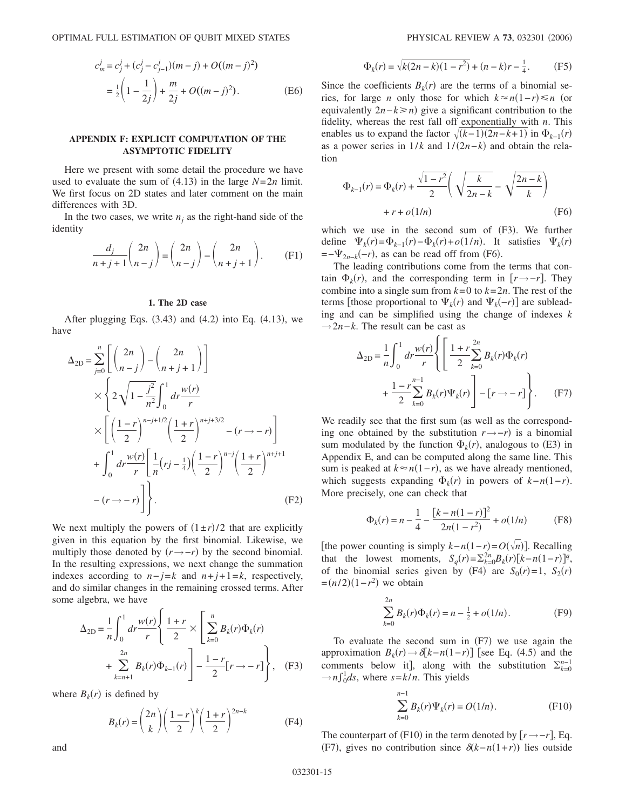OPTIMAL FULL ESTIMATION OF QUBIT MIXED STATES

$$
c_m^j = c_j^j + (c_j^j - c_{j-1}^j)(m - j) + O((m - j)^2)
$$
  
=  $\frac{1}{2} \left( 1 - \frac{1}{2j} \right) + \frac{m}{2j} + O((m - j)^2).$  (E6)

# **APPENDIX F: EXPLICIT COMPUTATION OF THE ASYMPTOTIC FIDELITY**

Here we present with some detail the procedure we have used to evaluate the sum of  $(4.13)$  in the large  $N=2n$  limit. We first focus on 2D states and later comment on the main differences with 3D.

In the two cases, we write  $n_i$  as the right-hand side of the identity

$$
\frac{d_j}{n+j+1} \binom{2n}{n-j} = \binom{2n}{n-j} - \binom{2n}{n+j+1}.
$$
 (F1)

### **1. The 2D case**

After plugging Eqs.  $(3.43)$  and  $(4.2)$  into Eq.  $(4.13)$ , we have

$$
\Delta_{2D} = \sum_{j=0}^{n} \left[ \binom{2n}{n-j} - \binom{2n}{n+j+1} \right] \times \left\{ 2\sqrt{1 - \frac{j^2}{n^2}} \int_0^1 dr \frac{w(r)}{r} + \sum_{j=0}^{n} \left[ \frac{1-r}{2} \right]_0^{n-j+1/2} \left( \frac{1+r}{2} \right)^{n+j+3/2} - (r \to -r) \right] + \int_0^1 dr \frac{w(r)}{r} \left[ \frac{1}{n} (rj - \frac{1}{4}) \left( \frac{1-r}{2} \right)^{n-j} \left( \frac{1+r}{2} \right)^{n+j+1} - (r \to -r) \right] \Bigg].
$$
\n(F2)

We next multiply the powers of  $(1 \pm r)/2$  that are explicitly given in this equation by the first binomial. Likewise, we multiply those denoted by  $(r \rightarrow -r)$  by the second binomial. In the resulting expressions, we next change the summation indexes according to  $n-j=k$  and  $n+j+1=k$ , respectively, and do similar changes in the remaining crossed terms. After some algebra, we have

$$
\Delta_{2D} = \frac{1}{n} \int_0^1 dr \frac{w(r)}{r} \left\{ \frac{1+r}{2} \times \left[ \sum_{k=0}^n B_k(r) \Phi_k(r) + \sum_{k=n+1}^{2n} B_k(r) \Phi_{k-1}(r) \right] - \frac{1-r}{2} [r \to -r] \right\}, \quad (F3)
$$

where  $B_k(r)$  is defined by

$$
B_k(r) = \binom{2n}{k} \left(\frac{1-r}{2}\right)^k \left(\frac{1+r}{2}\right)^{2n-k}
$$
 (F4)

$$
\Phi_k(r) = \sqrt{k(2n-k)(1-r^2)} + (n-k)r - \frac{1}{4}.
$$
 (F5)

Since the coefficients  $B_k(r)$  are the terms of a binomial series, for large *n* only those for which  $k \approx n(1-r) \le n$  (or equivalently  $2n-k \ge n$ ) give a significant contribution to the fidelity, whereas the rest fall off exponentially with *n*. This enables us to expand the factor  $\sqrt{(k-1)(2n-k+1)}$  in  $\Phi_{k-1}(r)$ as a power series in  $1/k$  and  $1/(2n-k)$  and obtain the relation

$$
\Phi_{k-1}(r) = \Phi_k(r) + \frac{\sqrt{1 - r^2}}{2} \left( \sqrt{\frac{k}{2n - k}} - \sqrt{\frac{2n - k}{k}} \right)
$$
  
+  $r + o(1/n)$  (F6)

which we use in the second sum of (F3). We further define  $\Psi_k(r) = \Phi_{k-1}(r) - \Phi_k(r) + o(1/n)$ . It satisfies  $\Psi_k(r)$  $=-\Psi_{2n-k}(-r)$ , as can be read off from (F6).

The leading contributions come from the terms that contain  $\Phi_k(r)$ , and the corresponding term in  $[r \rightarrow -r]$ . They combine into a single sum from  $k=0$  to  $k=2n$ . The rest of the terms [those proportional to  $\Psi_k(r)$  and  $\Psi_k(-r)$ ] are subleading and can be simplified using the change of indexes *k* →2*n*−*k*. The result can be cast as

$$
\Delta_{2D} = \frac{1}{n} \int_0^1 dr \frac{w(r)}{r} \left\{ \left[ \frac{1+r}{2} \sum_{k=0}^{2n} B_k(r) \Phi_k(r) + \frac{1-r^{n-1}}{2} \sum_{k=0}^{n-1} B_k(r) \Psi_k(r) \right] - [r \to -r] \right\}.
$$
 (F7)

We readily see that the first sum (as well as the corresponding one obtained by the substitution  $r \rightarrow -r$ ) is a binomial sum modulated by the function  $\Phi_k(r)$ , analogous to (E3) in Appendix E, and can be computed along the same line. This sum is peaked at  $k \approx n(1-r)$ , as we have already mentioned, which suggests expanding  $\Phi_k(r)$  in powers of  $k - n(1 - r)$ . More precisely, one can check that

$$
\Phi_k(r) = n - \frac{1}{4} - \frac{[k - n(1 - r)]^2}{2n(1 - r^2)} + o(1/n) \tag{F8}
$$

[the power counting is simply  $k - n(1 - r) = O(\sqrt{n})$ ]. Recalling that the lowest moments,  $S_q(r) = \sum_{k=0}^{2n} B_k(r) [k - n(1 - r)]^q$ , of the binomial series given by (F4) are  $S_0(r)=1$ ,  $S_2(r)$  $=(n/2)(1 - r^2)$  we obtain

$$
\sum_{k=0}^{2n} B_k(r)\Phi_k(r) = n - \frac{1}{2} + o(1/n). \tag{F9}
$$

To evaluate the second sum in  $(F7)$  we use again the approximation  $B_k(r) \rightarrow \delta[k-n(1-r)]$  [see Eq. (4.5) and the comments below it], along with the substitution  $\Sigma_{k=0}^{n-1}$  $\rightarrow n \int_0^1 ds$ , where  $s = k/n$ . This yields

$$
\sum_{k=0}^{n-1} B_k(r)\Psi_k(r) = O(1/n). \tag{F10}
$$

The counterpart of (F10) in the term denoted by  $[r \rightarrow -r]$ , Eq. (F7), gives no contribution since  $\delta(k-n(1+r))$  lies outside

and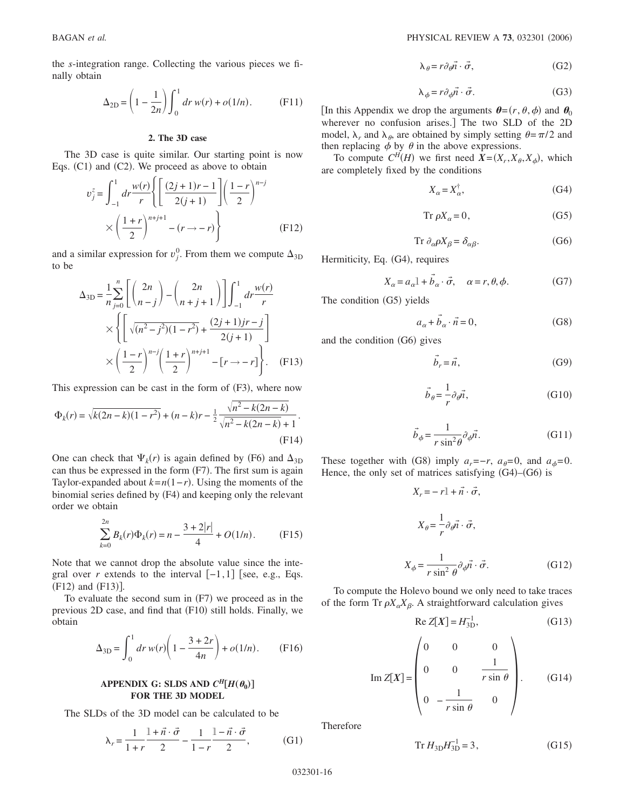the *s*-integration range. Collecting the various pieces we finally obtain

$$
\Delta_{2D} = \left(1 - \frac{1}{2n}\right) \int_0^1 dr \, w(r) + o(1/n). \tag{F11}
$$

#### **2. The 3D case**

The 3D case is quite similar. Our starting point is now Eqs.  $(C1)$  and  $(C2)$ . We proceed as above to obtain

$$
v_j^z = \int_{-1}^1 dr \frac{w(r)}{r} \left\{ \left[ \frac{(2j+1)r-1}{2(j+1)} \right] \left( \frac{1-r}{2} \right)^{n-j} \right\}
$$

$$
\times \left( \frac{1+r}{2} \right)^{n+j+1} - (r \to -r) \right\}
$$
(F12)

and a similar expression for  $v_j^0$ . From them we compute  $\Delta_{3D}$ to be

$$
\Delta_{3D} = \frac{1}{n} \sum_{j=0}^{n} \left[ \binom{2n}{n-j} - \binom{2n}{n+j+1} \right] \int_{-1}^{1} dr \frac{w(r)}{r} \times \left\{ \left[ \sqrt{(n^2 - j^2)(1 - r^2)} + \frac{(2j+1)jr - j}{2(j+1)} \right] \times \left( \frac{1-r}{2} \right)^{n-j} \left( \frac{1+r}{2} \right)^{n+j+1} - [r \to -r] \right\}. \tag{F13}
$$

This expression can be cast in the form of (F3), where now

$$
\Phi_k(r) = \sqrt{k(2n-k)(1-r^2)} + (n-k)r - \frac{1}{2} \frac{\sqrt{n^2 - k(2n-k)}}{\sqrt{n^2 - k(2n-k)} + 1}.
$$
\n(F14)

One can check that  $\Psi_k(r)$  is again defined by (F6) and  $\Delta_{3D}$ can thus be expressed in the form (F7). The first sum is again Taylor-expanded about  $k = n(1 - r)$ . Using the moments of the binomial series defined by (F4) and keeping only the relevant order we obtain

$$
\sum_{k=0}^{2n} B_k(r)\Phi_k(r) = n - \frac{3+2|r|}{4} + O(1/n). \tag{F15}
$$

Note that we cannot drop the absolute value since the integral over *r* extends to the interval  $[-1,1]$  [see, e.g., Eqs.  $(F12)$  and  $(F13)$ ].

To evaluate the second sum in (F7) we proceed as in the previous 2D case, and find that (F10) still holds. Finally, we obtain

$$
\Delta_{3D} = \int_0^1 dr \, w(r) \left( 1 - \frac{3 + 2r}{4n} \right) + o(1/n). \tag{F16}
$$

# **APPENDIX G: SLDS AND**  $C^H[H(\theta_0)]$ **FOR THE 3D MODEL**

The SLDs of the 3D model can be calculated to be

$$
\lambda_r = \frac{1}{1+r} \frac{1+\vec{n} \cdot \vec{\sigma}}{2} - \frac{1}{1-r} \frac{1-\vec{n} \cdot \vec{\sigma}}{2},
$$
 (G1)

BAGAN *et al.* 2006) 2006 2012 12:30 2006 2012 2013 2014 2022 2034 2042 2050 2050 2050 2060 2012 202301 202301 202301 202301 202301 202301 202301 202301 202301 202301 202301 202301 202301 202301 202301 202302 202301 202302

$$
\lambda_{\theta} = r \partial_{\theta} \vec{n} \cdot \vec{\sigma},\qquad (G2)
$$

$$
\lambda_{\phi} = r \partial_{\phi} \vec{n} \cdot \vec{\sigma}.
$$
 (G3)

[In this Appendix we drop the arguments  $\theta = (r, \theta, \phi)$  and  $\theta_0$ wherever no confusion arises.] The two SLD of the 2D model,  $\lambda_r$  and  $\lambda_\theta$ , are obtained by simply setting  $\theta = \pi/2$  and then replacing  $\phi$  by  $\theta$  in the above expressions.

To compute  $C^H(H)$  we first need  $X = (X_r, X_\theta, X_\phi)$ , which are completely fixed by the conditions

$$
X_{\alpha} = X_{\alpha}^{\dagger},\tag{G4}
$$

$$
Tr \, \rho X_{\alpha} = 0,\tag{G5}
$$

$$
\operatorname{Tr} \partial_{\alpha} \rho X_{\beta} = \delta_{\alpha \beta}.\tag{G6}
$$

Hermiticity, Eq. (G4), requires

$$
X_{\alpha} = a_{\alpha} \mathbf{1} + \vec{b}_{\alpha} \cdot \vec{\sigma}, \quad \alpha = r, \theta, \phi. \tag{G7}
$$

The condition (G5) yields

$$
a_{\alpha} + \vec{b}_{\alpha} \cdot \vec{n} = 0, \qquad (G8)
$$

and the condition (G6) gives

$$
\vec{b}_r = \vec{n},\tag{G9}
$$

$$
\vec{b}_{\theta} = -\frac{1}{r} \partial_{\theta} \vec{n},\tag{G10}
$$

$$
\vec{b}_{\phi} = \frac{1}{r \sin^2 \theta} \partial_{\phi} \vec{n}.
$$
 (G11)

These together with (G8) imply  $a_r = -r$ ,  $a_\theta = 0$ , and  $a_\phi = 0$ . Hence, the only set of matrices satisfying  $(G4)$ – $(G6)$  is

$$
X_r = -r \mathbf{1} + \vec{n} \cdot \vec{\sigma},
$$
  
\n
$$
X_{\theta} = \frac{1}{r} \partial_{\theta} \vec{n} \cdot \vec{\sigma},
$$
  
\n
$$
X_{\phi} = \frac{1}{r \sin^2 \theta} \partial_{\phi} \vec{n} \cdot \vec{\sigma}.
$$
 (G12)

To compute the Holevo bound we only need to take traces of the form Tr  $\rho X_{\alpha} X_{\beta}$ . A straightforward calculation gives

Re 
$$
Z[X] = H_{3D}^{-1}
$$
, (G13)

Im 
$$
Z[X] = \begin{pmatrix} 0 & 0 & 0 \\ 0 & 0 & \frac{1}{r \sin \theta} \\ 0 & -\frac{1}{r \sin \theta} & 0 \end{pmatrix}
$$
. (G14)

Therefore

$$
\text{Tr}\,H_{3\text{D}}H_{3\text{D}}^{-1} = 3\,,\tag{G15}
$$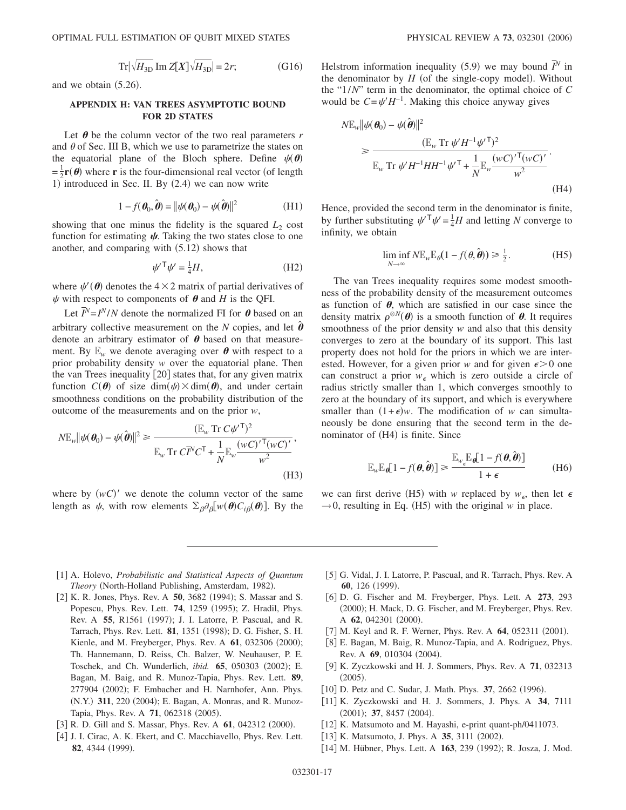$$
\operatorname{Tr} \left| \sqrt{H_{3\text{D}}} \operatorname{Im} Z[X] \sqrt{H_{3\text{D}}} \right| = 2r; \tag{G16}
$$

and we obtain  $(5.26)$ .

### **APPENDIX H: VAN TREES ASYMPTOTIC BOUND FOR 2D STATES**

Let  $\theta$  be the column vector of the two real parameters  $r$ and  $\theta$  of Sec. III B, which we use to parametrize the states on the equatorial plane of the Bloch sphere. Define  $\psi(\theta)$  $=\frac{1}{2}\mathbf{r}(\boldsymbol{\theta})$  where **r** is the four-dimensional real vector (of length 1) introduced in Sec. II. By (2.4) we can now write

$$
1 - f(\boldsymbol{\theta}_0, \hat{\boldsymbol{\theta}}) = ||\psi(\boldsymbol{\theta}_0) - \psi(\hat{\boldsymbol{\theta}})||^2
$$
 (H1)

showing that one minus the fidelity is the squared  $L_2$  cost function for estimating  $\psi$ . Taking the two states close to one another, and comparing with  $(5.12)$  shows that

$$
\psi^{\prime \mathsf{T}} \psi^{\prime} = \frac{1}{4} H, \tag{H2}
$$

where  $\psi'(\boldsymbol{\theta})$  denotes the  $4 \times 2$  matrix of partial derivatives of  $\psi$  with respect to components of  $\theta$  and *H* is the QFI.

Let  $\overline{I}^N = I^N/N$  denote the normalized FI for  $\theta$  based on an arbitrary collective measurement on the *N* copies, and let  $\hat{\boldsymbol{\theta}}$ denote an arbitrary estimator of  $\theta$  based on that measurement. By  $\mathbb{E}_w$  we denote averaging over  $\theta$  with respect to a prior probability density *w* over the equatorial plane. Then the van Trees inequality  $|20|$  states that, for any given matrix function  $C(\theta)$  of size dim $(\psi) \times \dim(\theta)$ , and under certain smoothness conditions on the probability distribution of the outcome of the measurements and on the prior *w*,

$$
N \mathbb{E}_{w} ||\psi(\boldsymbol{\theta}_{0}) - \psi(\hat{\boldsymbol{\theta}})||^{2} \geq \frac{(\mathbb{E}_{w} \operatorname{Tr} C \psi^{\prime \top})^{2}}{\mathbb{E}_{w} \operatorname{Tr} C \overline{I}^{N} C^{\top} + \frac{1}{N} \mathbb{E}_{w} \frac{(w C)^{\prime \top} (w C)^{\prime}}{w^{2}}},
$$
\n(H3)

where by  $(wC)'$  we denote the column vector of the same length as  $\psi$ , with row elements  $\sum_{\beta} \partial_{\beta} [w(\theta) C_{i\beta}(\theta)]$ . By the

Helstrom information inequality (5.9) we may bound  $\bar{I}^N$  in the denominator by  $H$  (of the single-copy model). Without the "1/*N*" term in the denominator, the optimal choice of *C* would be  $C = \psi'H^{-1}$ . Making this choice anyway gives

$$
N \mathbb{E}_{w} || \psi(\boldsymbol{\theta}_{0}) - \psi(\hat{\boldsymbol{\theta}}) ||^{2}
$$
  
\n
$$
\geq \frac{(\mathbb{E}_{w} \text{Tr } \psi' H^{-1} \psi' \mathbb{I})^{2}}{\mathbb{E}_{w} \text{Tr } \psi' H^{-1} H H^{-1} \psi' \mathbb{I} + \frac{1}{N} \mathbb{E}_{w} \frac{(w C)^{\prime \mathsf{T}} (w C)^{\prime}}{w^{2}}}.
$$
  
\n(H4)

Hence, provided the second term in the denominator is finite, by further substituting  $\psi^T \psi = \frac{1}{4}H$  and letting *N* converge to infinity, we obtain

$$
\liminf_{N \to \infty} N \mathbb{E}_w \mathbb{E}_{\theta} (1 - f(\theta, \hat{\boldsymbol{\theta}})) \ge \frac{1}{2}.
$$
 (H5)

The van Trees inequality requires some modest smoothness of the probability density of the measurement outcomes as function of  $\theta$ , which are satisfied in our case since the density matrix  $\rho^{\otimes N}(\boldsymbol{\theta})$  is a smooth function of  $\boldsymbol{\theta}$ . It requires smoothness of the prior density *w* and also that this density converges to zero at the boundary of its support. This last property does not hold for the priors in which we are interested. However, for a given prior *w* and for given  $\epsilon > 0$  one can construct a prior  $w_{\epsilon}$  which is zero outside a circle of radius strictly smaller than 1, which converges smoothly to zero at the boundary of its support, and which is everywhere smaller than  $(1+\epsilon)w$ . The modification of *w* can simultaneously be done ensuring that the second term in the denominator of (H4) is finite. Since

$$
\mathbb{E}_{w} \mathbb{E}_{\theta} [1 - f(\theta, \hat{\theta})] \ge \frac{\mathbb{E}_{w_{\epsilon}} \mathbb{E}_{\theta} [1 - f(\theta, \hat{\theta})]}{1 + \epsilon}
$$
(H6)

we can first derive (H5) with *w* replaced by  $w_{\epsilon}$ , then let  $\epsilon$  $\rightarrow$  0, resulting in Eq. (H5) with the original *w* in place.

- 1 A. Holevo, *Probabilistic and Statistical Aspects of Quantum* Theory (North-Holland Publishing, Amsterdam, 1982).
- [2] K. R. Jones, Phys. Rev. A **50**, 3682 (1994); S. Massar and S. Popescu, Phys. Rev. Lett. **74**, 1259 (1995); Z. Hradil, Phys. Rev. A 55, R1561 (1997); J. I. Latorre, P. Pascual, and R. Tarrach, Phys. Rev. Lett. **81**, 1351 (1998); D. G. Fisher, S. H. Kienle, and M. Freyberger, Phys. Rev. A 61, 032306 (2000); Th. Hannemann, D. Reiss, Ch. Balzer, W. Neuhauser, P. E. Toschek, and Ch. Wunderlich, *ibid.* **65**, 050303 (2002); E. Bagan, M. Baig, and R. Munoz-Tapia, Phys. Rev. Lett. **89**, 277904 (2002); F. Embacher and H. Narnhofer, Ann. Phys. (N.Y.) 311, 220 (2004); E. Bagan, A. Monras, and R. Munoz-Tapia, Phys. Rev. A **71**, 062318 (2005).
- [3] R. D. Gill and S. Massar, Phys. Rev. A 61, 042312 (2000).
- [4] J. I. Cirac, A. K. Ekert, and C. Macchiavello, Phys. Rev. Lett. 82, 4344 (1999).
- [5] G. Vidal, J. I. Latorre, P. Pascual, and R. Tarrach, Phys. Rev. A 60, 126 (1999).
- 6 D. G. Fischer and M. Freyberger, Phys. Lett. A **273**, 293 (2000); H. Mack, D. G. Fischer, and M. Freyberger, Phys. Rev. A 62, 042301 (2000).
- [7] M. Keyl and R. F. Werner, Phys. Rev. A 64, 052311 (2001).
- [8] E. Bagan, M. Baig, R. Munoz-Tapia, and A. Rodriguez, Phys. Rev. A 69, 010304 (2004).
- 9 K. Zyczkowski and H. J. Sommers, Phys. Rev. A **71**, 032313  $(2005).$
- [10] D. Petz and C. Sudar, J. Math. Phys. 37, 2662 (1996).
- 11 K. Zyczkowski and H. J. Sommers, J. Phys. A **34**, 7111  $(2001);$  37, 8457  $(2004).$
- [12] K. Matsumoto and M. Hayashi, e-print quant-ph/0411073.
- [13] K. Matsumoto, J. Phys. A **35**, 3111 (2002).
- [14] M. Hübner, Phys. Lett. A 163, 239 (1992); R. Josza, J. Mod.